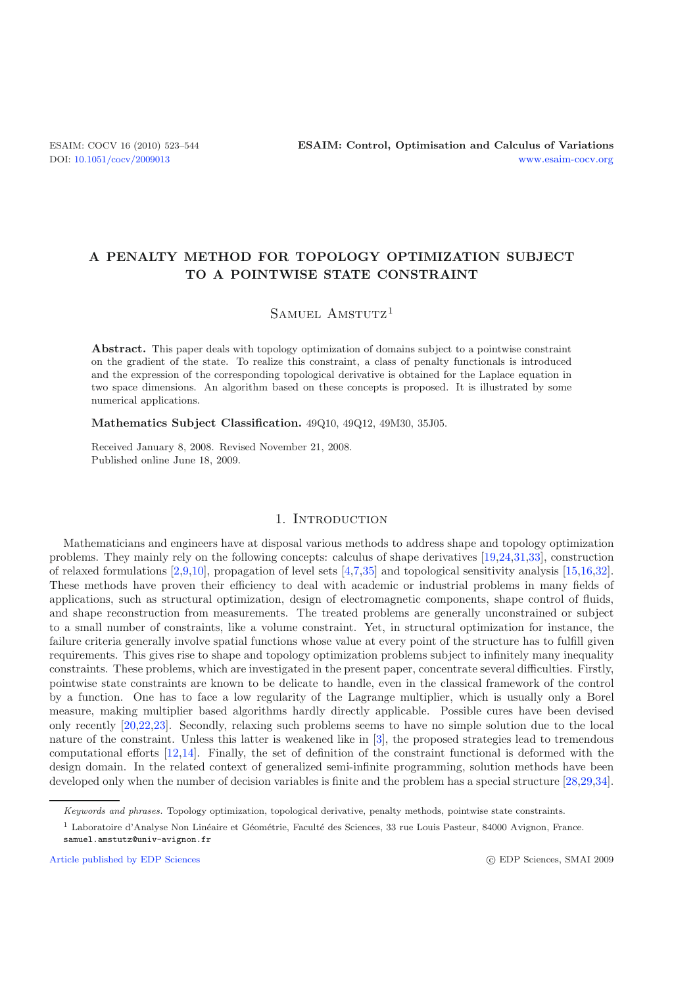# **A PENALTY METHOD FOR TOPOLOGY OPTIMIZATION SUBJECT TO A POINTWISE STATE CONSTRAINT**

SAMUEL AMSTUTZ<sup>1</sup>

**Abstract.** This paper deals with topology optimization of domains subject to a pointwise constraint on the gradient of the state. To realize this constraint, a class of penalty functionals is introduced and the expression of the corresponding topological derivative is obtained for the Laplace equation in two space dimensions. An algorithm based on these concepts is proposed. It is illustrated by some numerical applications.

**Mathematics Subject Classification.** 49Q10, 49Q12, 49M30, 35J05.

Received January 8, 2008. Revised November 21, 2008. Published online June 18, 2009.

### 1. INTRODUCTION

Mathematicians and engineers have at disposal various methods to address shape and topology optimization problems. They mainly rely on the following concepts: calculus of shape derivatives [\[19](#page-21-0)[,24](#page-21-1)[,31](#page-21-2)[,33\]](#page-21-3), construction of relaxed formulations [\[2](#page-20-0)[,9](#page-20-1)[,10\]](#page-20-2), propagation of level sets [\[4](#page-20-3)[,7](#page-20-4)[,35\]](#page-21-4) and topological sensitivity analysis [\[15](#page-21-5)[,16](#page-21-6)[,32\]](#page-21-7). These methods have proven their efficiency to deal with academic or industrial problems in many fields of applications, such as structural optimization, design of electromagnetic components, shape control of fluids, and shape reconstruction from measurements. The treated problems are generally unconstrained or subject to a small number of constraints, like a volume constraint. Yet, in structural optimization for instance, the failure criteria generally involve spatial functions whose value at every point of the structure has to fulfill given requirements. This gives rise to shape and topology optimization problems subject to infinitely many inequality constraints. These problems, which are investigated in the present paper, concentrate several difficulties. Firstly, pointwise state constraints are known to be delicate to handle, even in the classical framework of the control by a function. One has to face a low regularity of the Lagrange multiplier, which is usually only a Borel measure, making multiplier based algorithms hardly directly applicable. Possible cures have been devised only recently [\[20](#page-21-8)[,22](#page-21-9)[,23](#page-21-10)]. Secondly, relaxing such problems seems to have no simple solution due to the local nature of the constraint. Unless this latter is weakened like in [\[3](#page-20-5)], the proposed strategies lead to tremendous computational efforts [\[12](#page-20-6)[,14](#page-20-7)]. Finally, the set of definition of the constraint functional is deformed with the design domain. In the related context of generalized semi-infinite programming, solution methods have been developed only when the number of decision variables is finite and the problem has a special structure [\[28](#page-21-11)[,29](#page-21-12)[,34\]](#page-21-13).

Keywords and phrases. Topology optimization, topological derivative, penalty methods, pointwise state constraints.

<sup>&</sup>lt;sup>1</sup> Laboratoire d'Analyse Non Linéaire et Géométrie, Faculté des Sciences, 33 rue Louis Pasteur, 84000 Avignon, France. samuel.amstutz@univ-avignon.fr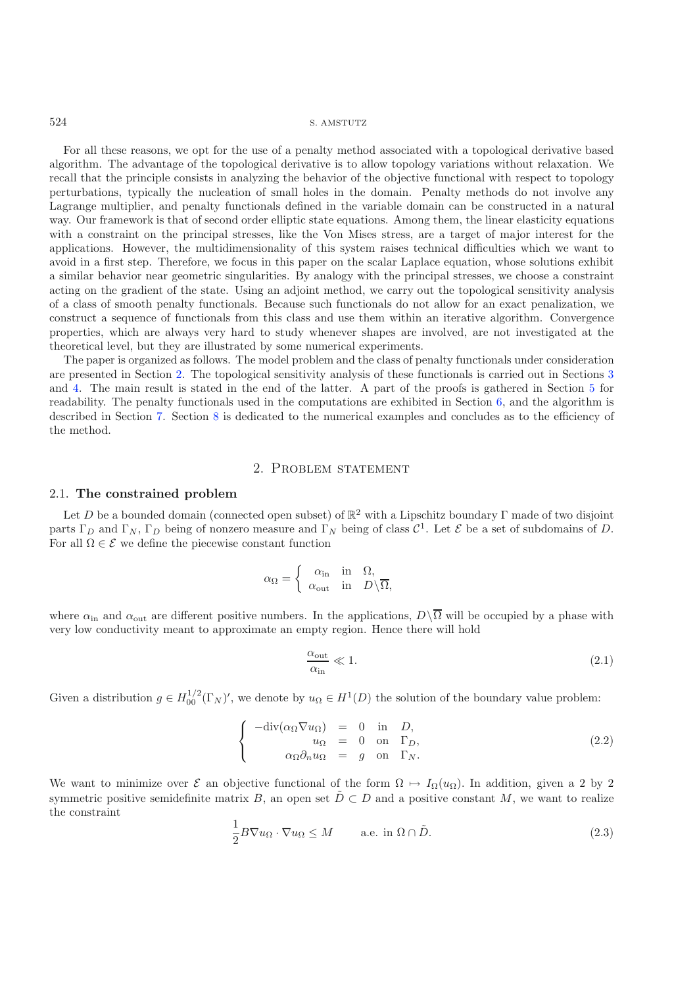For all these reasons, we opt for the use of a penalty method associated with a topological derivative based algorithm. The advantage of the topological derivative is to allow topology variations without relaxation. We recall that the principle consists in analyzing the behavior of the objective functional with respect to topology perturbations, typically the nucleation of small holes in the domain. Penalty methods do not involve any Lagrange multiplier, and penalty functionals defined in the variable domain can be constructed in a natural way. Our framework is that of second order elliptic state equations. Among them, the linear elasticity equations with a constraint on the principal stresses, like the Von Mises stress, are a target of major interest for the applications. However, the multidimensionality of this system raises technical difficulties which we want to avoid in a first step. Therefore, we focus in this paper on the scalar Laplace equation, whose solutions exhibit a similar behavior near geometric singularities. By analogy with the principal stresses, we choose a constraint acting on the gradient of the state. Using an adjoint method, we carry out the topological sensitivity analysis of a class of smooth penalty functionals. Because such functionals do not allow for an exact penalization, we construct a sequence of functionals from this class and use them within an iterative algorithm. Convergence properties, which are always very hard to study whenever shapes are involved, are not investigated at the theoretical level, but they are illustrated by some numerical experiments.

The paper is organized as follows. The model problem and the class of penalty functionals under consideration are presented in Section [2.](#page-1-0) The topological sensitivity analysis of these functionals is carried out in Sections [3](#page-3-0) and [4.](#page-4-0) The main result is stated in the end of the latter. A part of the proofs is gathered in Section [5](#page-10-0) for readability. The penalty functionals used in the computations are exhibited in Section [6,](#page-15-0) and the algorithm is described in Section [7.](#page-16-0) Section [8](#page-16-1) is dedicated to the numerical examples and concludes as to the efficiency of the method.

### <span id="page-1-3"></span>2. Problem statement

# <span id="page-1-0"></span>2.1. **The constrained problem**

Let D be a bounded domain (connected open subset) of  $\mathbb{R}^2$  with a Lipschitz boundary Γ made of two disjoint parts  $\Gamma_D$  and  $\Gamma_N$ ,  $\Gamma_D$  being of nonzero measure and  $\Gamma_N$  being of class  $\mathcal{C}^1$ . Let  $\mathcal E$  be a set of subdomains of D. For all  $\Omega \in \mathcal{E}$  we define the piecewise constant function

$$
\alpha_{\Omega} = \begin{cases} \alpha_{\text{in}} & \text{in} \quad \Omega, \\ \alpha_{\text{out}} & \text{in} \quad D \setminus \overline{\Omega}, \end{cases}
$$

<span id="page-1-1"></span>where  $\alpha_{\rm in}$  and  $\alpha_{\rm out}$  are different positive numbers. In the applications,  $D\setminus\overline{\Omega}$  will be occupied by a phase with very low conductivity meant to approximate an empty region. Hence there will hold

$$
\frac{\alpha_{\text{out}}}{\alpha_{\text{in}}} \ll 1. \tag{2.1}
$$

<span id="page-1-2"></span>Given a distribution  $g \in H_{00}^{1/2}(\Gamma_N)'$ , we denote by  $u_{\Omega} \in H^1(D)$  the solution of the boundary value problem:

$$
\begin{cases}\n-\text{div}(\alpha_{\Omega}\nabla u_{\Omega}) = 0 & \text{in } D, \\
u_{\Omega} = 0 & \text{on } \Gamma_D, \\
\alpha_{\Omega}\partial_n u_{\Omega} = g & \text{on } \Gamma_N.\n\end{cases}
$$
\n(2.2)

We want to minimize over  $\mathcal E$  an objective functional of the form  $\Omega \mapsto I_{\Omega}(u_{\Omega})$ . In addition, given a 2 by 2 symmetric positive semidefinite matrix B, an open set  $\tilde{D} \subset D$  and a positive constant M, we want to realize the constraint

$$
\frac{1}{2}B\nabla u_{\Omega} \cdot \nabla u_{\Omega} \le M \quad \text{a.e. in } \Omega \cap \tilde{D}.
$$
 (2.3)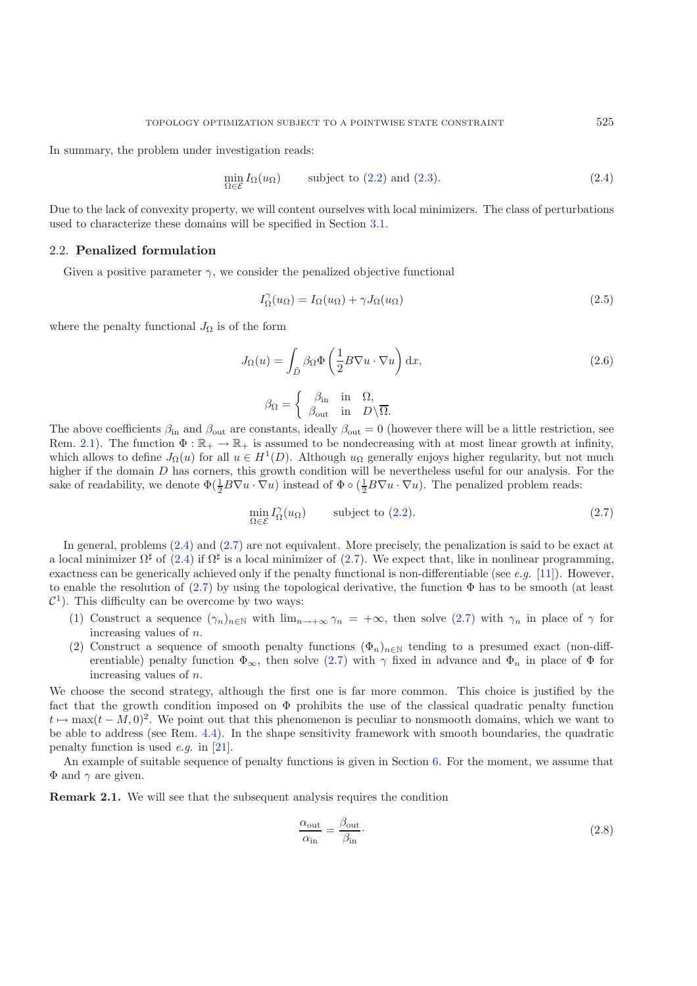<span id="page-2-1"></span>In summary, the problem under investigation reads:

$$
\min_{\Omega \in \mathcal{E}} I_{\Omega}(u_{\Omega}) \qquad \text{subject to (2.2) and (2.3).} \tag{2.4}
$$

Due to the lack of convexity property, we will content ourselves with local minimizers. The class of perturbations used to characterize these domains will be specified in Section [3.1.](#page-3-1)

### <span id="page-2-3"></span>2.2. **Penalized formulation**

Given a positive parameter  $\gamma$ , we consider the penalized objective functional

$$
I_{\Omega}^{\gamma}(u_{\Omega}) = I_{\Omega}(u_{\Omega}) + \gamma J_{\Omega}(u_{\Omega})
$$
\n(2.5)

where the penalty functional  $J_{\Omega}$  is of the form

<span id="page-2-2"></span>
$$
J_{\Omega}(u) = \int_{\tilde{D}} \beta_{\Omega} \Phi\left(\frac{1}{2}B\nabla u \cdot \nabla u\right) dx,
$$
\n(2.6)

$$
\beta_{\Omega} = \begin{cases} \beta_{\text{in}} & \text{in} \quad \Omega, \\ \beta_{\text{out}} & \text{in} \quad D \setminus \overline{\Omega}. \end{cases}
$$

The above coefficients  $\beta_{\rm in}$  and  $\beta_{\rm out}$  are constants, ideally  $\beta_{\rm out} = 0$  (however there will be a little restriction, see<br>Rem 2.1) The function  $\Phi : \mathbb{R}_{+} \to \mathbb{R}_{+}$  is assumed to be nondecreasing with at most Rem. [2.1\)](#page-2-0). The function  $\Phi : \mathbb{R}_+ \to \mathbb{R}_+$  is assumed to be nondecreasing with at most linear growth at infinity, which allows to define  $J_{\Omega}(u)$  for all  $u \in H^1(D)$ . Although  $u_{\Omega}$  generally enjoys higher regularity, but not much higher if the domain D has corners, this growth condition will be nevertheless useful for our analysis. For the sake of readability, we denote  $\Phi(\frac{1}{2}B\nabla u \cdot \nabla u)$  instead of  $\Phi \circ (\frac{1}{2}B\nabla u \cdot \nabla u)$ . The penalized problem reads:

$$
\min_{\Omega \in \mathcal{E}} I_{\Omega}^{\gamma}(u_{\Omega}) \qquad \text{subject to (2.2).} \tag{2.7}
$$

In general, problems  $(2.4)$  and  $(2.7)$  are not equivalent. More precisely, the penalization is said to be exact at a local minimizer  $\Omega^{\sharp}$  of [\(2.4\)](#page-2-1) if  $\Omega^{\sharp}$  is a local minimizer of [\(2.7\)](#page-2-2). We expect that, like in nonlinear programming, exactness can be generically achieved only if the penalty functional is non-differentiable (see *e.g.* [\[11\]](#page-20-8)). However, to enable the resolution of  $(2.7)$  by using the topological derivative, the function  $\Phi$  has to be smooth (at least  $\mathcal{C}^1$ ). This difficulty can be overcome by two ways:

- (1) Construct a sequence  $(\gamma_n)_{n\in\mathbb{N}}$  with  $\lim_{n\to+\infty}\gamma_n = +\infty$ , then solve  $(2.7)$  with  $\gamma_n$  in place of  $\gamma$  for increasing values of n.
- (2) Construct a sequence of smooth penalty functions  $(\Phi_n)_{n\in\mathbb{N}}$  tending to a presumed exact (non-differentiable) penalty function  $\Phi_{\infty}$ , then solve [\(2.7\)](#page-2-2) with  $\gamma$  fixed in advance and  $\Phi_n$  in place of  $\Phi$  for increasing values of n.

We choose the second strategy, although the first one is far more common. This choice is justified by the fact that the growth condition imposed on  $\Phi$  prohibits the use of the classical quadratic penalty function  $t \mapsto \max(t - M, 0)^2$ . We point out that this phenomenon is peculiar to nonsmooth domains, which we want to be able to address (see Rem. [4.4\)](#page-9-0). In the shape sensitivity framework with smooth boundaries, the quadratic penalty function is used *e.g.* in [\[21\]](#page-21-14).

<span id="page-2-0"></span>An example of suitable sequence of penalty functions is given in Section [6.](#page-15-0) For the moment, we assume that  $\Phi$  and  $\gamma$  are given.

**Remark 2.1.** We will see that the subsequent analysis requires the condition

$$
\frac{\alpha_{\text{out}}}{\alpha_{\text{in}}} = \frac{\beta_{\text{out}}}{\beta_{\text{in}}}.
$$
\n(2.8)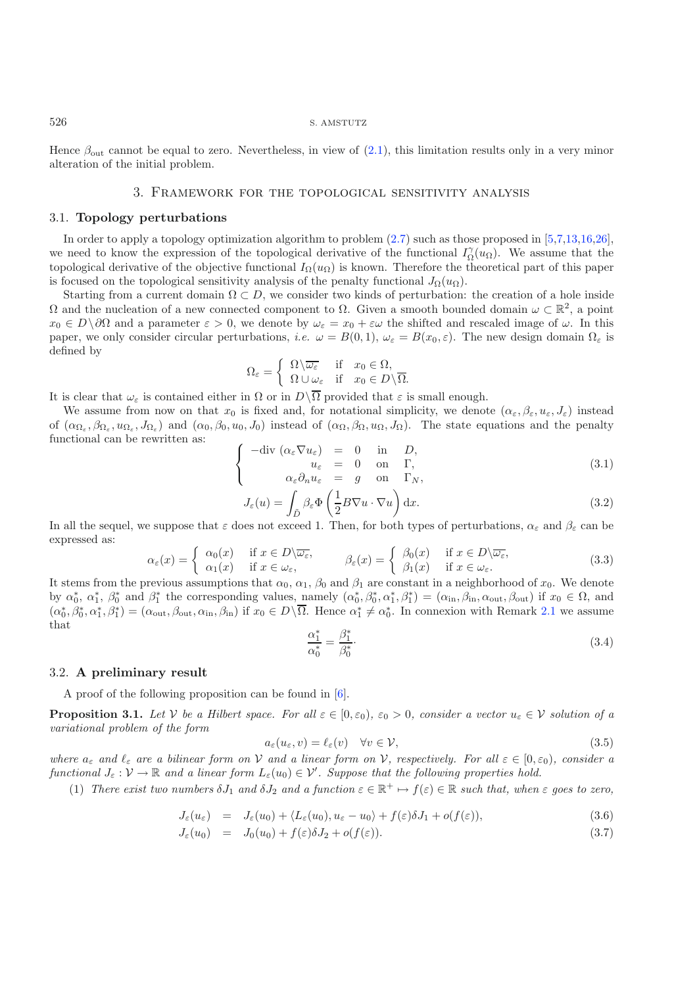<span id="page-3-0"></span>Hence  $\beta_{\text{out}}$  cannot be equal to zero. Nevertheless, in view of [\(2.1\)](#page-1-3), this limitation results only in a very minor alteration of the initial problem.

#### <span id="page-3-3"></span>3. Framework for the topological sensitivity analysis

#### <span id="page-3-1"></span>3.1. **Topology perturbations**

In order to apply a topology optimization algorithm to problem [\(2.7\)](#page-2-2) such as those proposed in [\[5](#page-20-9)[,7](#page-20-4)[,13](#page-20-10)[,16](#page-21-6)[,26\]](#page-21-15), we need to know the expression of the topological derivative of the functional  $I_{\Omega}^{\gamma}(u_{\Omega})$ . We assume that the topological derivative of the objective functional  $I_{\Omega}(u_{\Omega})$  is known. Therefore the theoretical part topological derivative of the objective functional  $I_{\Omega}(u_{\Omega})$  is known. Therefore the theoretical part of this paper is focused on the topological sensitivity analysis of the penalty functional  $J_{\Omega}(u_{\Omega})$ .

Starting from a current domain  $\Omega \subset D$ , we consider two kinds of perturbation: the creation of a hole inside  $\Omega$  and the nucleation of a new connected component to  $\Omega$ . Given a smooth bounded domain  $\omega \subset \mathbb{R}^2$ , a point  $x_0 \in D\setminus\partial\Omega$  and a parameter  $\varepsilon > 0$ , we denote by  $\omega_{\varepsilon} = x_0 + \varepsilon\omega$  the shifted and rescaled image of  $\omega$ . In this paper, we only consider circular perturbations, *i.e.*  $\omega = B(0, 1)$ ,  $\omega_{\varepsilon} = B(x_0, \varepsilon)$ . The new design domain  $\Omega_{\varepsilon}$  is defined by

<span id="page-3-4"></span>
$$
\Omega_{\varepsilon} = \begin{cases} \Omega \setminus \overline{\omega_{\varepsilon}} & \text{if } x_0 \in \Omega, \\ \Omega \cup \omega_{\varepsilon} & \text{if } x_0 \in D \setminus \overline{\Omega}. \end{cases}
$$

It is clear that  $\omega_{\varepsilon}$  is contained either in  $\Omega$  or in  $D\setminus\Omega$  provided that  $\varepsilon$  is small enough.<br>We assume from now on that  $x_0$  is fixed and for notational simplicity, we denote

We assume from now on that  $x_0$  is fixed and, for notational simplicity, we denote  $(\alpha_{\varepsilon}, \beta_{\varepsilon}, u_{\varepsilon}, J_{\varepsilon})$  instead of  $(\alpha_{\Omega_{\varepsilon}}, \beta_{\Omega_{\varepsilon}}, u_{\Omega_{\varepsilon}}, J_{\Omega_{\varepsilon}})$  and  $(\alpha_0, \beta_0, u_0, J_0)$  instead of  $(\alpha_{\Omega}, \beta_{\Omega}, u_{\Omega}, J_{\Omega})$ . The state equations and the penalty functional can be rewritten as:

<span id="page-3-5"></span>
$$
\begin{cases}\n-\text{div} \ (\alpha_{\varepsilon} \nabla u_{\varepsilon}) = 0 & \text{in} \quad D, \\
u_{\varepsilon} = 0 & \text{on} \quad \Gamma, \\
\alpha_{\varepsilon} \partial_n u_{\varepsilon} = g & \text{on} \quad \Gamma_N,\n\end{cases} \tag{3.1}
$$

$$
\alpha_{\varepsilon} \partial_n u_{\varepsilon} = g \quad \text{on} \quad \Gamma_N,
$$
  

$$
J_{\varepsilon}(u) = \int_{\tilde{D}} \beta_{\varepsilon} \Phi \left( \frac{1}{2} B \nabla u \cdot \nabla u \right) dx.
$$
 (3.2)

In all the sequel, we suppose that  $\varepsilon$  does not exceed 1. Then, for both types of perturbations,  $\alpha_{\varepsilon}$  and  $\beta_{\varepsilon}$  can be expressed as:

$$
\alpha_{\varepsilon}(x) = \begin{cases} \alpha_{0}(x) & \text{if } x \in D \backslash \overline{\omega_{\varepsilon}}, \\ \alpha_{1}(x) & \text{if } x \in \omega_{\varepsilon}, \end{cases} \qquad \beta_{\varepsilon}(x) = \begin{cases} \beta_{0}(x) & \text{if } x \in D \backslash \overline{\omega_{\varepsilon}}, \\ \beta_{1}(x) & \text{if } x \in \omega_{\varepsilon}. \end{cases} \tag{3.3}
$$

It stems from the previous assumptions that  $\alpha_0$ ,  $\alpha_1$ ,  $\beta_0$  and  $\beta_1$  are constant in a neighborhood of  $x_0$ . We denote by  $\alpha_0^*, \alpha_1^*, \beta_0^*$  and  $\beta_1^*$  the corresponding values, namely  $(\alpha_0^*, \beta_0^*, \alpha_1^*, \beta_1^*) = (\alpha_{\text{in}}, \beta_{\text{in}}, \alpha_{\text{out}}, \beta_{\text{out}})$  if  $x_0 \in \Omega$ , and  $(\alpha^*, \beta^*, \alpha^*, \beta^*) = (\alpha_{\text{in}}, \beta_{\text{in}}, \alpha_{\text{out}}, \beta_{\text{out}})$  $(\alpha_0^*, \beta_0^*, \alpha_1^*, \beta_1^*) = (\alpha_{\text{out}}, \beta_{\text{out}}, \alpha_{\text{in}}, \beta_{\text{in}})$  if  $x_0 \in D \setminus \Omega$ . Hence  $\alpha_1^* \neq \alpha_0^*$ . In connexion with Remark [2.1](#page-2-0) we assume that that

$$
\frac{\alpha_1^*}{\alpha_0^*} = \frac{\beta_1^*}{\beta_0^*}.\tag{3.4}
$$

#### 3.2. **A preliminary result**

A proof of the following proposition can be found in [\[6](#page-20-11)].

<span id="page-3-2"></span>**Proposition 3.1.** Let V be a Hilbert space. For all  $\varepsilon \in [0, \varepsilon_0)$ ,  $\varepsilon_0 > 0$ , consider a vector  $u_{\varepsilon} \in V$  solution of a *variational problem of the form*

$$
a_{\varepsilon}(u_{\varepsilon}, v) = \ell_{\varepsilon}(v) \quad \forall v \in \mathcal{V},\tag{3.5}
$$

*where*  $a_{\varepsilon}$  *and*  $\ell_{\varepsilon}$  *are a bilinear form on*  $V$  *and a linear form on*  $V$ *, respectively. For all*  $\varepsilon \in [0, \varepsilon_0)$ *, consider a functional*  $I \cdot V \to \mathbb{R}$  *and a linear form*  $I_{\varepsilon}(u_0) \in V'$ . Suppos *functional*  $J_{\varepsilon}: \mathcal{V} \to \mathbb{R}$  and a linear form  $L_{\varepsilon}(u_0) \in \mathcal{V}'$ . Suppose that the following properties hold.<br>(1) These wist two numbers  $I_{\varepsilon}$  and  $I_{\varepsilon}$  and s functions  $\in \mathbb{R}^+$  of (a)  $\in \mathbb{R}$ 

(1) *There exist two numbers*  $\delta J_1$  *and*  $\delta J_2$  *and a function*  $\varepsilon \in \mathbb{R}^+ \mapsto f(\varepsilon) \in \mathbb{R}$  *such that, when*  $\varepsilon$  *goes to zero,* 

$$
J_{\varepsilon}(u_{\varepsilon}) = J_{\varepsilon}(u_{0}) + \langle L_{\varepsilon}(u_{0}), u_{\varepsilon} - u_{0} \rangle + f(\varepsilon)\delta J_{1} + o(f(\varepsilon)), \tag{3.6}
$$

$$
J_{\varepsilon}(u_0) = J_0(u_0) + f(\varepsilon)\delta J_2 + o(f(\varepsilon)). \tag{3.7}
$$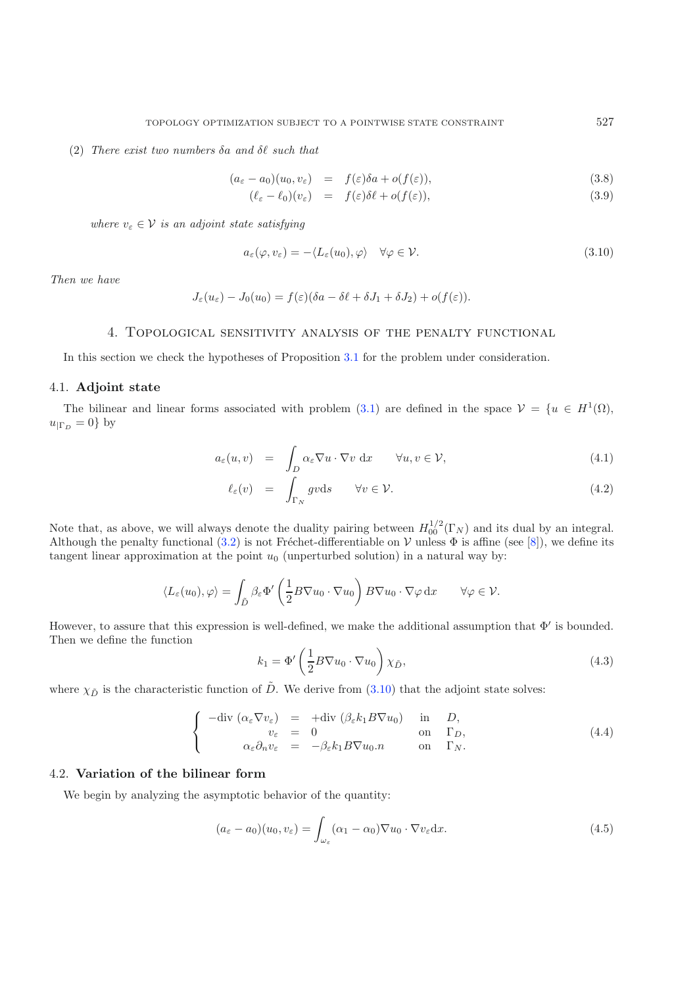<span id="page-4-1"></span>(2) *There exist two numbers*  $\delta a$  *and*  $\delta \ell$  *such that* 

$$
(a_{\varepsilon} - a_0)(u_0, v_{\varepsilon}) = f(\varepsilon)\delta a + o(f(\varepsilon)), \tag{3.8}
$$

$$
(\ell_{\varepsilon} - \ell_0)(v_{\varepsilon}) = f(\varepsilon)\delta\ell + o(f(\varepsilon)), \tag{3.9}
$$

<span id="page-4-4"></span>*where*  $v_{\varepsilon} \in V$  *is an adjoint state satisfying* 

$$
a_{\varepsilon}(\varphi, v_{\varepsilon}) = -\langle L_{\varepsilon}(u_0), \varphi \rangle \quad \forall \varphi \in \mathcal{V}.
$$
\n(3.10)

<span id="page-4-0"></span>*Then we have*

$$
J_{\varepsilon}(u_{\varepsilon}) - J_0(u_0) = f(\varepsilon)(\delta a - \delta \ell + \delta J_1 + \delta J_2) + o(f(\varepsilon)).
$$

# 4. Topological sensitivity analysis of the penalty functional

In this section we check the hypotheses of Proposition [3.1](#page-3-2) for the problem under consideration.

### 4.1. **Adjoint state**

The bilinear and linear forms associated with problem [\(3.1\)](#page-3-3) are defined in the space  $\mathcal{V} = \{u \in H^1(\Omega),\}$  $u_{\mid \Gamma_D} = 0$ } by

<span id="page-4-5"></span>
$$
a_{\varepsilon}(u,v) = \int_{D} \alpha_{\varepsilon} \nabla u \cdot \nabla v \, dx \qquad \forall u, v \in \mathcal{V}, \tag{4.1}
$$

$$
\ell_{\varepsilon}(v) = \int_{\Gamma_N} gv \, ds \qquad \forall v \in \mathcal{V}.\tag{4.2}
$$

Note that, as above, we will always denote the duality pairing between  $H_0^{1/2}(\Gamma_N)$  and its dual by an integral.<br>Although the penalty functional (3.2) is not Fréchet-differentiable on V unless  $\Phi$  is affine (see [8]), Although the penalty functional [\(3.2\)](#page-3-4) is not Fréchet-differentiable on V unless  $\Phi$  is affine (see [\[8\]](#page-20-12)), we define its tangent linear approximation at the point  $u_0$  (unperturbed solution) in a natural way by:

<span id="page-4-3"></span><span id="page-4-2"></span>
$$
\langle L_{\varepsilon}(u_0), \varphi \rangle = \int_{\tilde{D}} \beta_{\varepsilon} \Phi' \left( \frac{1}{2} B \nabla u_0 \cdot \nabla u_0 \right) B \nabla u_0 \cdot \nabla \varphi \, dx \qquad \forall \varphi \in \mathcal{V}.
$$

However, to assure that this expression is well-defined, we make the additional assumption that  $\Phi'$  is bounded. Then we define the function

$$
k_1 = \Phi'\left(\frac{1}{2}B\nabla u_0 \cdot \nabla u_0\right) \chi_{\tilde{D}},\tag{4.3}
$$

where  $\chi_{\tilde{D}}$  is the characteristic function of  $\tilde{D}$ . We derive from [\(3.10\)](#page-4-1) that the adjoint state solves:

$$
\begin{cases}\n-\text{div} \ (\alpha_{\varepsilon} \nabla v_{\varepsilon}) = + \text{div} \ (\beta_{\varepsilon} k_1 B \nabla u_0) & \text{in} \quad D, \\
v_{\varepsilon} = 0 & \text{on} \quad \Gamma_D, \\
\alpha_{\varepsilon} \partial_n v_{\varepsilon} = -\beta_{\varepsilon} k_1 B \nabla u_0 . n & \text{on} \quad \Gamma_N.\n\end{cases} \tag{4.4}
$$

### 4.2. **Variation of the bilinear form**

We begin by analyzing the asymptotic behavior of the quantity:

$$
(a_{\varepsilon} - a_0)(u_0, v_{\varepsilon}) = \int_{\omega_{\varepsilon}} (\alpha_1 - \alpha_0) \nabla u_0 \cdot \nabla v_{\varepsilon} dx.
$$
 (4.5)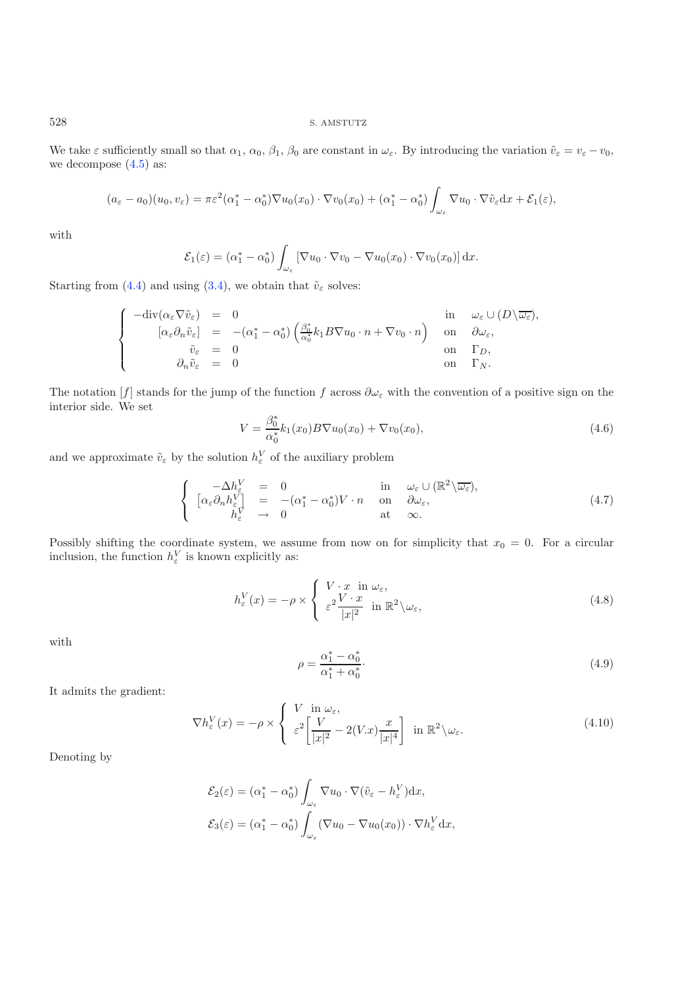We take  $\varepsilon$  sufficiently small so that  $\alpha_1, \alpha_0, \beta_1, \beta_0$  are constant in  $\omega_{\varepsilon}$ . By introducing the variation  $\tilde{v}_{\varepsilon} = v_{\varepsilon} - v_0$ , we decompose  $(4.5)$  as:

$$
(a_{\varepsilon}-a_0)(u_0, v_{\varepsilon})=\pi \varepsilon^2(\alpha_1^*-\alpha_0^*)\nabla u_0(x_0)\cdot \nabla v_0(x_0)+(\alpha_1^*-\alpha_0^*)\int_{\omega_{\varepsilon}}\nabla u_0\cdot \nabla \tilde{v}_{\varepsilon}dx+\mathcal{E}_1(\varepsilon),
$$

with

<span id="page-5-4"></span>
$$
\mathcal{E}_1(\varepsilon) = (\alpha_1^* - \alpha_0^*) \int_{\omega_{\varepsilon}} \left[ \nabla u_0 \cdot \nabla v_0 - \nabla u_0(x_0) \cdot \nabla v_0(x_0) \right] \mathrm{d}x.
$$

Starting from [\(4.4\)](#page-4-3) and using [\(3.4\)](#page-3-5), we obtain that  $\tilde{v}_{\varepsilon}$  solves:

<span id="page-5-0"></span>
$$
\begin{cases}\n-\text{div}(\alpha_{\varepsilon}\nabla\tilde{v}_{\varepsilon}) = 0 & \text{in} \quad \omega_{\varepsilon} \cup (D \setminus \overline{\omega_{\varepsilon}}), \\
[\alpha_{\varepsilon}\partial_n \tilde{v}_{\varepsilon}] = -(\alpha_1^* - \alpha_0^*) \left( \frac{\beta_0^*}{\alpha_0^*} k_1 B \nabla u_0 \cdot n + \nabla v_0 \cdot n \right) & \text{on} \quad \partial \omega_{\varepsilon}, \\
\tilde{v}_{\varepsilon} = 0 & \text{on} \quad \Gamma_D, \\
\partial_n \tilde{v}_{\varepsilon} = 0 & \text{on} \quad \Gamma_N.\n\end{cases}
$$

The notation  $[f]$  stands for the jump of the function f across  $\partial \omega_{\varepsilon}$  with the convention of a positive sign on the interior side. We set

$$
V = \frac{\beta_0^*}{\alpha_0^*} k_1(x_0) B \nabla u_0(x_0) + \nabla v_0(x_0), \tag{4.6}
$$

and we approximate  $\tilde{v}_{\varepsilon}$  by the solution  $h_{\varepsilon}^V$  of the auxiliary problem

<span id="page-5-3"></span><span id="page-5-2"></span>
$$
\begin{cases}\n-\Delta h_{\varepsilon}^{V} = 0 & \text{in } \omega_{\varepsilon} \cup (\mathbb{R}^{2} \setminus \overline{\omega_{\varepsilon}}), \\
[\alpha_{\varepsilon} \partial_{n} h_{\varepsilon}^{V}] = -(\alpha_{1}^{*} - \alpha_{0}^{*}) V \cdot n & \text{on } \partial \omega_{\varepsilon}, \\
h_{\varepsilon}^{V} \to 0 & \text{at } \infty.\n\end{cases} (4.7)
$$

<span id="page-5-1"></span>Possibly shifting the coordinate system, we assume from now on for simplicity that  $x_0 = 0$ . For a circular inclusion, the function  $h_{\varepsilon}^V$  is known explicitly as:

$$
h_{\varepsilon}^{V}(x) = -\rho \times \begin{cases} V \cdot x & \text{in } \omega_{\varepsilon}, \\ \varepsilon^{2} \frac{V \cdot x}{|x|^{2}} & \text{in } \mathbb{R}^{2} \setminus \omega_{\varepsilon}, \end{cases}
$$
 (4.8)

with

$$
\rho = \frac{\alpha_1^* - \alpha_0^*}{\alpha_1^* + \alpha_0^*}.
$$
\n(4.9)

It admits the gradient:

$$
\nabla h_{\varepsilon}^{V}(x) = -\rho \times \begin{cases} V & \text{in } \omega_{\varepsilon}, \\ \varepsilon^{2} \left[ \frac{V}{|x|^{2}} - 2(V.x) \frac{x}{|x|^{4}} \right] & \text{in } \mathbb{R}^{2} \setminus \omega_{\varepsilon}. \end{cases}
$$
(4.10)

Denoting by

$$
\mathcal{E}_2(\varepsilon) = (\alpha_1^* - \alpha_0^*) \int_{\omega_{\varepsilon}} \nabla u_0 \cdot \nabla (\tilde{v}_{\varepsilon} - h_{\varepsilon}^V) dx,
$$
  

$$
\mathcal{E}_3(\varepsilon) = (\alpha_1^* - \alpha_0^*) \int_{\omega_{\varepsilon}} (\nabla u_0 - \nabla u_0(x_0)) \cdot \nabla h_{\varepsilon}^V dx,
$$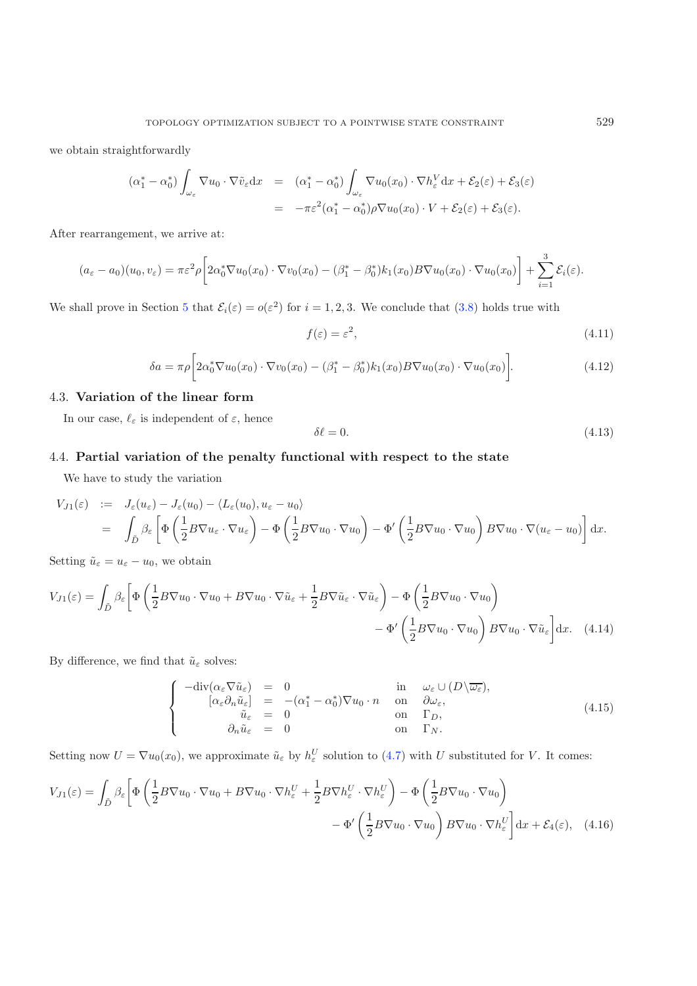<span id="page-6-1"></span>we obtain straightforwardly

<span id="page-6-0"></span>
$$
(\alpha_1^* - \alpha_0^*) \int_{\omega_{\varepsilon}} \nabla u_0 \cdot \nabla \tilde{v}_{\varepsilon} dx = (\alpha_1^* - \alpha_0^*) \int_{\omega_{\varepsilon}} \nabla u_0(x_0) \cdot \nabla h_{\varepsilon}^V dx + \mathcal{E}_2(\varepsilon) + \mathcal{E}_3(\varepsilon)
$$
  
= 
$$
-\pi \varepsilon^2 (\alpha_1^* - \alpha_0^*) \rho \nabla u_0(x_0) \cdot V + \mathcal{E}_2(\varepsilon) + \mathcal{E}_3(\varepsilon).
$$

After rearrangement, we arrive at:

$$
(a_{\varepsilon}-a_0)(u_0, v_{\varepsilon})=\pi \varepsilon^2 \rho \bigg[2\alpha_0^* \nabla u_0(x_0)\cdot \nabla v_0(x_0)-(\beta_1^*-\beta_0^*)k_1(x_0)B\nabla u_0(x_0)\cdot \nabla u_0(x_0)\bigg]+\sum_{i=1}^3 \mathcal{E}_i(\varepsilon).
$$

We shall prove in Section [5](#page-10-0) that  $\mathcal{E}_i(\varepsilon) = o(\varepsilon^2)$  for  $i = 1, 2, 3$ . We conclude that [\(3.8\)](#page-4-4) holds true with

<span id="page-6-2"></span>
$$
f(\varepsilon) = \varepsilon^2,\tag{4.11}
$$

$$
\delta a = \pi \rho \left[ 2\alpha_0^* \nabla u_0(x_0) \cdot \nabla v_0(x_0) - (\beta_1^* - \beta_0^*) k_1(x_0) B \nabla u_0(x_0) \cdot \nabla u_0(x_0) \right]. \tag{4.12}
$$

# 4.3. **Variation of the linear form**

In our case,  $\ell_{\varepsilon}$  is independent of  $\varepsilon$ , hence

$$
\delta \ell = 0. \tag{4.13}
$$

# 4.4. **Partial variation of the penalty functional with respect to the state**

We have to study the variation

<span id="page-6-3"></span>
$$
V_{J1}(\varepsilon) := J_{\varepsilon}(u_{\varepsilon}) - J_{\varepsilon}(u_{0}) - \langle L_{\varepsilon}(u_{0}), u_{\varepsilon} - u_{0} \rangle
$$
  
= 
$$
\int_{\tilde{D}} \beta_{\varepsilon} \left[ \Phi \left( \frac{1}{2} B \nabla u_{\varepsilon} \cdot \nabla u_{\varepsilon} \right) - \Phi \left( \frac{1}{2} B \nabla u_{0} \cdot \nabla u_{0} \right) - \Phi' \left( \frac{1}{2} B \nabla u_{0} \cdot \nabla u_{0} \right) B \nabla u_{0} \cdot \nabla (u_{\varepsilon} - u_{0}) \right] dx.
$$

Setting  $\tilde{u}_{\varepsilon} = u_{\varepsilon} - u_0$ , we obtain

$$
V_{J1}(\varepsilon) = \int_{\tilde{D}} \beta_{\varepsilon} \left[ \Phi \left( \frac{1}{2} B \nabla u_0 \cdot \nabla u_0 + B \nabla u_0 \cdot \nabla \tilde{u}_{\varepsilon} + \frac{1}{2} B \nabla \tilde{u}_{\varepsilon} \cdot \nabla \tilde{u}_{\varepsilon} \right) - \Phi \left( \frac{1}{2} B \nabla u_0 \cdot \nabla u_0 \right) - \Phi' \left( \frac{1}{2} B \nabla u_0 \cdot \nabla u_0 \right) B \nabla u_0 \cdot \nabla \tilde{u}_{\varepsilon} \right] dx. \tag{4.14}
$$

By difference, we find that  $\tilde{u}_\varepsilon$  solves:

$$
\begin{cases}\n-\text{div}(\alpha_{\varepsilon}\nabla\tilde{u}_{\varepsilon}) = 0 & \text{in} \quad \omega_{\varepsilon} \cup (D \backslash \overline{\omega_{\varepsilon}}), \\
[\alpha_{\varepsilon}\partial_n\tilde{u}_{\varepsilon}] = -(\alpha_1^* - \alpha_0^*)\nabla u_0 \cdot n & \text{on} \quad \partial \omega_{\varepsilon}, \\
\tilde{u}_{\varepsilon} = 0 & \text{on} \quad \Gamma_D, \\
\partial_n\tilde{u}_{\varepsilon} = 0 & \text{on} \quad \Gamma_N.\n\end{cases} (4.15)
$$

Setting now  $U = \nabla u_0(x_0)$ , we approximate  $\tilde{u}_{\varepsilon}$  by  $h_{\varepsilon}^U$  solution to [\(4.7\)](#page-5-0) with U substituted for V. It comes:

$$
V_{J1}(\varepsilon) = \int_{\tilde{D}} \beta_{\varepsilon} \left[ \Phi \left( \frac{1}{2} B \nabla u_0 \cdot \nabla u_0 + B \nabla u_0 \cdot \nabla h_{\varepsilon}^U + \frac{1}{2} B \nabla h_{\varepsilon}^U \cdot \nabla h_{\varepsilon}^U \right) - \Phi \left( \frac{1}{2} B \nabla u_0 \cdot \nabla u_0 \right) - \Phi' \left( \frac{1}{2} B \nabla u_0 \cdot \nabla u_0 \right) B \nabla u_0 \cdot \nabla h_{\varepsilon}^U \right] dx + \mathcal{E}_4(\varepsilon), \quad (4.16)
$$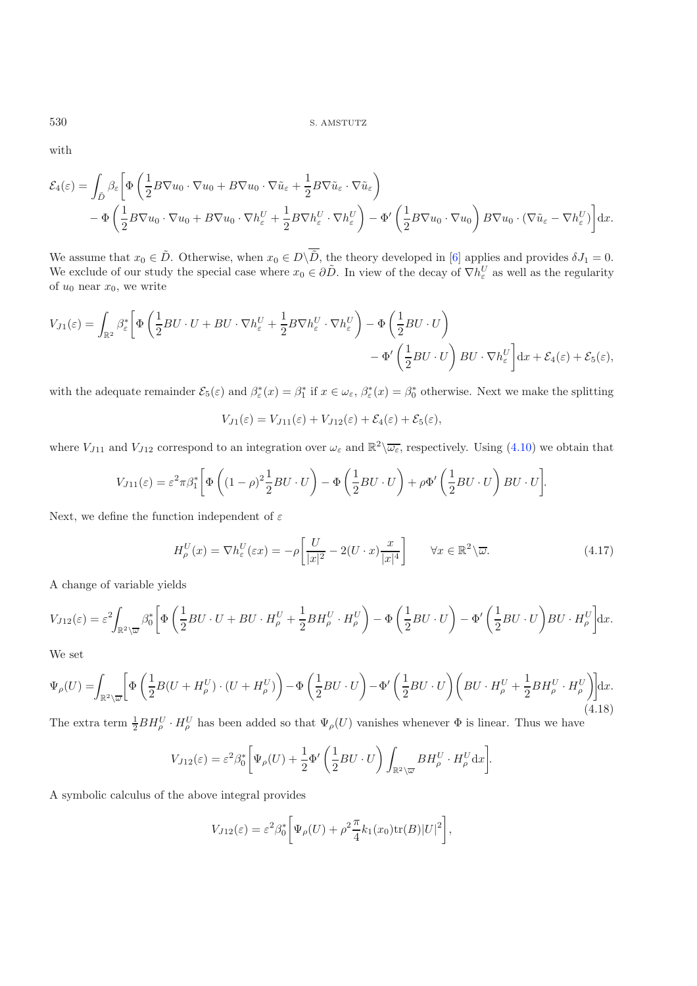with

$$
\mathcal{E}_4(\varepsilon) = \int_{\tilde{D}} \beta_{\varepsilon} \left[ \Phi \left( \frac{1}{2} B \nabla u_0 \cdot \nabla u_0 + B \nabla u_0 \cdot \nabla \tilde{u}_{\varepsilon} + \frac{1}{2} B \nabla \tilde{u}_{\varepsilon} \cdot \nabla \tilde{u}_{\varepsilon} \right) - \Phi \left( \frac{1}{2} B \nabla u_0 \cdot \nabla u_0 + B \nabla u_0 \cdot \nabla h_{\varepsilon}^U + \frac{1}{2} B \nabla h_{\varepsilon}^U \cdot \nabla h_{\varepsilon}^U \right) - \Phi' \left( \frac{1}{2} B \nabla u_0 \cdot \nabla u_0 \right) B \nabla u_0 \cdot (\nabla \tilde{u}_{\varepsilon} - \nabla h_{\varepsilon}^U) \right] dx.
$$

We assume that  $x_0 \in \tilde{D}$ . Otherwise, when  $x_0 \in D\backslash \tilde{D}$ , the theory developed in [\[6](#page-20-11)] applies and provides  $\delta J_1 = 0$ .<br>We exclude of our study the special associations  $x_0 \in \partial \tilde{D}$ . In view of the decay of  $\nabla h$ We exclude of our study the special case where  $x_0 \in \partial \tilde{D}$ . In view of the decay of  $\nabla h_{\varepsilon}^U$  as well as the regularity of  $u_0$  near  $x_0$ , we write of  $u_0$  near  $x_0$ , we write

$$
V_{J1}(\varepsilon) = \int_{\mathbb{R}^2} \beta_{\varepsilon}^* \left[ \Phi\left(\frac{1}{2}BU \cdot U + BU \cdot \nabla h_{\varepsilon}^U + \frac{1}{2}B \nabla h_{\varepsilon}^U \cdot \nabla h_{\varepsilon}^U \right) - \Phi\left(\frac{1}{2}BU \cdot U\right) - \Phi'\left(\frac{1}{2}BU \cdot U\right) BU \cdot \nabla h_{\varepsilon}^U \right] dx + \mathcal{E}_4(\varepsilon) + \mathcal{E}_5(\varepsilon),
$$

<span id="page-7-1"></span>with the adequate remainder  $\mathcal{E}_5(\varepsilon)$  and  $\beta_{\varepsilon}^*(x) = \beta_1^*$  if  $x \in \omega_{\varepsilon}$ ,  $\beta_{\varepsilon}^*(x) = \beta_0^*$  otherwise. Next we make the splitting

$$
V_{J1}(\varepsilon) = V_{J11}(\varepsilon) + V_{J12}(\varepsilon) + \mathcal{E}_4(\varepsilon) + \mathcal{E}_5(\varepsilon),
$$

where  $V_{J11}$  and  $V_{J12}$  correspond to an integration over  $\omega_{\varepsilon}$  and  $\mathbb{R}^2\setminus\overline{\omega_{\varepsilon}}$ , respectively. Using [\(4.10\)](#page-5-1) we obtain that

$$
V_{J11}(\varepsilon) = \varepsilon^2 \pi \beta_1^* \left[ \Phi \left( (1 - \rho)^2 \frac{1}{2} B U \cdot U \right) - \Phi \left( \frac{1}{2} B U \cdot U \right) + \rho \Phi' \left( \frac{1}{2} B U \cdot U \right) B U \cdot U \right].
$$

<span id="page-7-0"></span>Next, we define the function independent of  $\varepsilon$ 

$$
H_{\rho}^{U}(x) = \nabla h_{\varepsilon}^{U}(\varepsilon x) = -\rho \left[ \frac{U}{|x|^{2}} - 2(U \cdot x) \frac{x}{|x|^{4}} \right] \qquad \forall x \in \mathbb{R}^{2} \backslash \overline{\omega}.
$$
 (4.17)

A change of variable yields

$$
V_{J12}(\varepsilon) = \varepsilon^2 \int_{\mathbb{R}^2 \setminus \overline{\omega}} \beta_0^* \left[ \Phi\left(\frac{1}{2}BU \cdot U + BU \cdot H_{\rho}^U + \frac{1}{2}BH_{\rho}^U \cdot H_{\rho}^U \right) - \Phi\left(\frac{1}{2}BU \cdot U\right) - \Phi'\left(\frac{1}{2}BU \cdot U\right)BU \cdot H_{\rho}^U \right] dx.
$$

We set

$$
\Psi_{\rho}(U) = \int_{\mathbb{R}^2 \backslash \overline{\omega}} \left[ \Phi\left(\frac{1}{2}B(U + H_{\rho}^U) \cdot (U + H_{\rho}^U) \right) - \Phi\left(\frac{1}{2}BU \cdot U\right) - \Phi'\left(\frac{1}{2}BU \cdot U\right) \left(BU \cdot H_{\rho}^U + \frac{1}{2}BH_{\rho}^U \cdot H_{\rho}^U\right) \right] dx.
$$
\n(4.18)

The extra term  $\frac{1}{2}BH_{\rho}^{U} \cdot H_{\rho}^{U}$  has been added so that  $\Psi_{\rho}(U)$  vanishes whenever  $\Phi$  is linear. Thus we have

$$
V_{J12}(\varepsilon) = \varepsilon^2 \beta_0^* \bigg[ \Psi_{\rho}(U) + \frac{1}{2} \Phi' \left( \frac{1}{2} B U \cdot U \right) \int_{\mathbb{R}^2 \setminus \overline{\omega}} B H_{\rho}^U \cdot H_{\rho}^U \mathrm{d}x \bigg].
$$

A symbolic calculus of the above integral provides

$$
V_{J12}(\varepsilon) = \varepsilon^2 \beta_0^* \bigg[ \Psi_{\rho}(U) + \rho^2 \frac{\pi}{4} k_1(x_0) \text{tr}(B) |U|^2 \bigg],
$$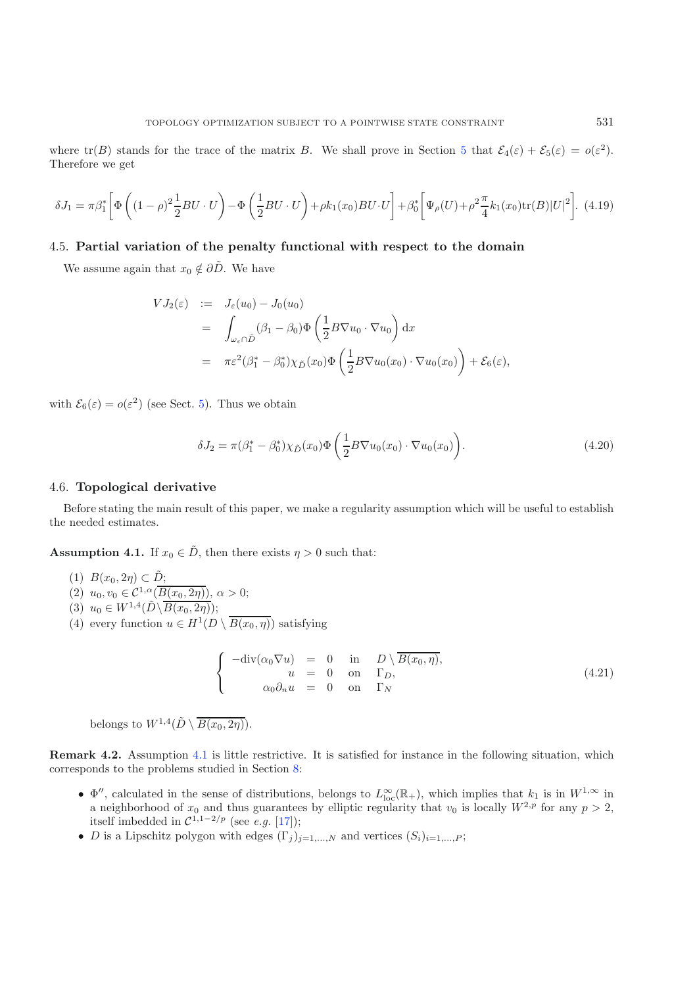<span id="page-8-1"></span>where  $tr(B)$  stands for the trace of the matrix B. We shall prove in Section [5](#page-10-0) that  $\mathcal{E}_4(\varepsilon) + \mathcal{E}_5(\varepsilon) = o(\varepsilon^2)$ . Therefore we get

$$
\delta J_1 = \pi \beta_1^* \left[ \Phi \left( (1 - \rho)^2 \frac{1}{2} B U \cdot U \right) - \Phi \left( \frac{1}{2} B U \cdot U \right) + \rho k_1(x_0) B U \cdot U \right] + \beta_0^* \left[ \Psi_\rho(U) + \rho^2 \frac{\pi}{4} k_1(x_0) \text{tr}(B) |U|^2 \right].
$$
 (4.19)

# 4.5. **Partial variation of the penalty functional with respect to the domain**

<span id="page-8-2"></span>We assume again that  $x_0 \notin \partial \tilde{D}$ . We have

$$
VJ_2(\varepsilon) := J_{\varepsilon}(u_0) - J_0(u_0)
$$
  
= 
$$
\int_{\omega_{\varepsilon} \cap \tilde{D}} (\beta_1 - \beta_0) \Phi\left(\frac{1}{2} B \nabla u_0 \cdot \nabla u_0\right) dx
$$
  
= 
$$
\pi \varepsilon^2 (\beta_1^* - \beta_0^*) \chi_{\tilde{D}}(x_0) \Phi\left(\frac{1}{2} B \nabla u_0(x_0) \cdot \nabla u_0(x_0)\right) + \mathcal{E}_6(\varepsilon),
$$

with  $\mathcal{E}_6(\varepsilon) = o(\varepsilon^2)$  (see Sect. [5\)](#page-10-0). Thus we obtain

$$
\delta J_2 = \pi (\beta_1^* - \beta_0^*) \chi_{\tilde{D}}(x_0) \Phi \left( \frac{1}{2} B \nabla u_0(x_0) \cdot \nabla u_0(x_0) \right).
$$
 (4.20)

### <span id="page-8-3"></span>4.6. **Topological derivative**

<span id="page-8-0"></span>Before stating the main result of this paper, we make a regularity assumption which will be useful to establish the needed estimates.

**Assumption 4.1.** If  $x_0 \in \tilde{D}$ , then there exists  $\eta > 0$  such that:

- (1)  $B(x_0, 2\eta) \subset \tilde{D}$ ;<br>(2)  $y_1, y_2 \subset C^{1,\alpha}(\overline{B})$
- (2)  $u_0, v_0 \in C^{1,\alpha}(\overline{B(x_0, 2\eta)}), \alpha > 0;$ <br>(2)  $u_0 \subset W^{1,4}(\tilde{D}) \overline{B(x_0, 2\eta)}).$
- (3)  $u_0 \in W^{1,4}(\tilde{D}\backslash \overline{B(x_0, 2\eta)});$ <br>(4) overy function  $u \in H^1(D)$
- (4) every function  $u \in H^1(D \setminus \overline{B(x_0, \eta)})$  satisfying

$$
\begin{cases}\n-\text{div}(\alpha_0 \nabla u) = 0 & \text{in} \quad D \setminus \overline{B(x_0, \eta)}, \\
u = 0 & \text{on} \quad \Gamma_D, \\
\alpha_0 \partial_n u = 0 & \text{on} \quad \Gamma_N\n\end{cases}
$$
\n(4.21)

belongs to  $W^{1,4}(\tilde{D}\setminus \overline{B(x_0, 2\eta)})$ .

**Remark 4.2.** Assumption [4.1](#page-8-0) is little restrictive. It is satisfied for instance in the following situation, which corresponds to the problems studied in Section [8:](#page-16-1)

- $\Phi''$ , calculated in the sense of distributions, belongs to  $L^{\infty}_{loc}(\mathbb{R}_+)$ , which implies that  $k_1$  is in  $W^{1,\infty}$  in a neighborhood of  $x_0$  and thus guarantees by elliptic regularity that  $v_0$  is locally  $W^{2,p}$ a neighborhood of  $x_0$  and thus guarantees by elliptic regularity that  $v_0$  is locally  $W^{2,p}$  for any  $p > 2$ , itself imbedded in  $\mathcal{C}^{1,1-2/p}$  (see *e.g.* [\[17\]](#page-21-16));
- D is a Lipschitz polygon with edges  $(\Gamma_j)_{j=1,\dots,N}$  and vertices  $(S_i)_{i=1,\dots,P}$ ;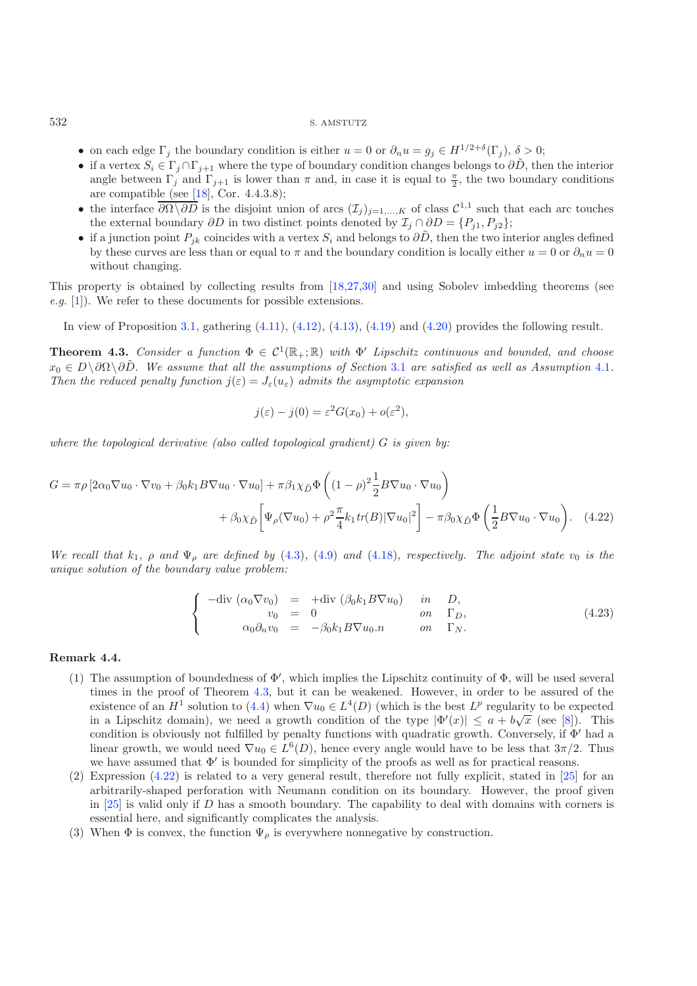- on each edge  $\Gamma_i$  the boundary condition is either  $u = 0$  or  $\partial_n u = g_i \in H^{1/2+\delta}(\Gamma_i)$ ,  $\delta > 0$ ;
- if a vertex  $S_i \in \Gamma_j \cap \Gamma_{j+1}$  where the type of boundary condition changes belongs to  $\partial \tilde{D}$ , then the interior angle between  $\Gamma_j$  and  $\Gamma_{j+1}$  is lower than  $\pi$  and, in case it is equal to  $\frac{\pi}{2}$ , the two boundary conditions are compatible (see [18] Cor 4438). are compatible (see [\[18\]](#page-21-17), Cor. 4.4.3.8);
- the interface  $\overline{\partial\Omega\setminus\partial D}$  is the disjoint union of arcs  $(\mathcal{I}_j)_{j=1,\dots,K}$  of class  $\mathcal{C}^{1,1}$  such that each arc touches the external boundary  $\partial D$  in two distinct points denoted by  $\mathcal{I}_j \cap \partial D = \{P_{j1}, P_{j2}\};$
- if a junction point  $P_{jk}$  coincides with a vertex  $S_i$  and belongs to  $\partial \tilde{D}$ , then the two interior angles defined by these curves are less than or equal to  $\pi$  and the boundary condition is locally either  $u = 0$  or  $\partial_n u = 0$ without changing.

This property is obtained by collecting results from [\[18](#page-21-17)[,27](#page-21-18)[,30](#page-21-19)] and using Sobolev imbedding theorems (see *e.g.* [\[1\]](#page-20-13)). We refer to these documents for possible extensions.

In view of Proposition [3.1,](#page-3-2) gathering [\(4.11\)](#page-6-0), [\(4.12\)](#page-6-1), [\(4.13\)](#page-6-2), [\(4.19\)](#page-8-1) and [\(4.20\)](#page-8-2) provides the following result.

<span id="page-9-1"></span>**Theorem 4.3.** *Consider a function*  $\Phi \in C^1(\mathbb{R}_+;\mathbb{R})$  *with*  $\Phi'$  *Lipschitz continuous and bounded, and choose*  $x_0 \in D\setminus\partial\Omega\setminus\partial\tilde{D}$ . We assume that all the assumptions of Section [3.1](#page-3-1) are satisfied as well as Assumption [4.1](#page-8-0). *Then the reduced penalty function*  $j(\varepsilon) = J_{\varepsilon}(u_{\varepsilon})$  *admits the asymptotic expansion* 

<span id="page-9-2"></span>
$$
j(\varepsilon) - j(0) = \varepsilon^2 G(x_0) + o(\varepsilon^2),
$$

*where the topological derivative (also called topological gradient)* G *is given by:*

$$
G = \pi \rho \left[ 2\alpha_0 \nabla u_0 \cdot \nabla v_0 + \beta_0 k_1 B \nabla u_0 \cdot \nabla u_0 \right] + \pi \beta_1 \chi_{\tilde{D}} \Phi \left( (1 - \rho)^2 \frac{1}{2} B \nabla u_0 \cdot \nabla u_0 \right) + \beta_0 \chi_{\tilde{D}} \left[ \Psi_\rho (\nabla u_0) + \rho^2 \frac{\pi}{4} k_1 \text{tr}(B) |\nabla u_0|^2 \right] - \pi \beta_0 \chi_{\tilde{D}} \Phi \left( \frac{1}{2} B \nabla u_0 \cdot \nabla u_0 \right). \tag{4.22}
$$

*We recall that*  $k_1$ *,*  $\rho$  *and*  $\Psi_\rho$  *are defined by* [\(4.3\)](#page-4-5)*,* [\(4.9\)](#page-5-2) *and* [\(4.18\)](#page-7-0)*, respectively. The adjoint state*  $v_0$  *is the unique solution of the boundary value problem:*

$$
\begin{cases}\n-\text{div} \ (\alpha_0 \nabla v_0) &= \ + \text{div} \ (\beta_0 k_1 B \nabla u_0) & \text{in} \quad D, \\
v_0 &= 0 & \text{on} \quad \Gamma_D, \\
\alpha_0 \partial_n v_0 &= -\beta_0 k_1 B \nabla u_0 . n & \text{on} \quad \Gamma_N.\n\end{cases} \tag{4.23}
$$

### <span id="page-9-0"></span>**Remark 4.4.**

- (1) The assumption of boundedness of  $\Phi'$ , which implies the Lipschitz continuity of  $\Phi$ , will be used several times in the proof of Theorem [4.3,](#page-9-1) but it can be weakened. However, in order to be assured of the existence of an  $H^1$  solution to [\(4.4\)](#page-4-3) when  $\nabla u_0 \in L^4(D)$  (which is the best  $L^p$  regularity to be expected<br>in a Linschitz domain), we need a growth condition of the type  $|\Phi'(x)| \le a + h\sqrt{x}$  (see [8]). This in a Lipschitz domain), we need a growth condition of the type  $|\Phi'(x)| \le a + b\sqrt{x}$  (see [\[8](#page-20-12)]). This condition is obviously not fulfilled by penalty functions with quadratic growth. Conversely if  $\Phi'$  had a condition is obviously not fulfilled by penalty functions with quadratic growth. Conversely, if  $\Phi'$  had a linear growth, we would need  $\nabla u_0 \in L^6(D)$ , hence every angle would have to be less that  $3\pi/2$ . Thus we have assumed that  $\Phi'$  is bounded for simplicity of the proofs as well as for practical reasons.
- (2) Expression [\(4.22\)](#page-9-2) is related to a very general result, therefore not fully explicit, stated in [\[25\]](#page-21-20) for an arbitrarily-shaped perforation with Neumann condition on its boundary. However, the proof given in [\[25\]](#page-21-20) is valid only if D has a smooth boundary. The capability to deal with domains with corners is essential here, and significantly complicates the analysis.
- (3) When  $\Phi$  is convex, the function  $\Psi_{\rho}$  is everywhere nonnegative by construction.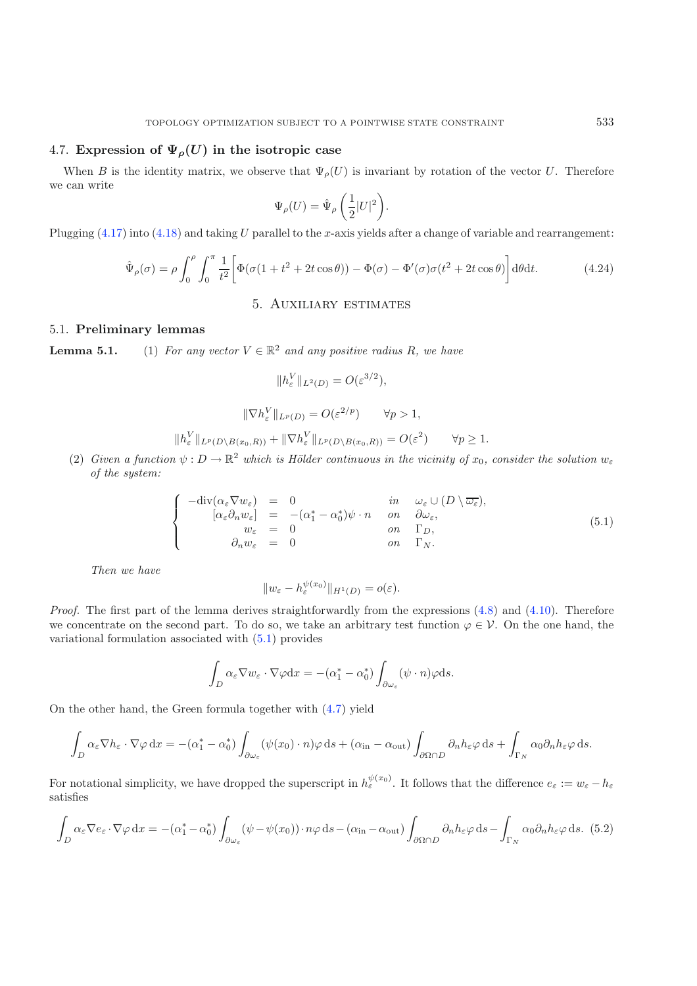# <span id="page-10-4"></span>4.7. **Expression of**  $\Psi_{\rho}(U)$  **in the isotropic case**

When B is the identity matrix, we observe that  $\Psi_{\rho}(U)$  is invariant by rotation of the vector U. Therefore we can write

$$
\Psi_{\rho}(U) = \hat{\Psi}_{\rho}\left(\frac{1}{2}|U|^2\right).
$$

Plugging  $(4.17)$  into  $(4.18)$  and taking U parallel to the x-axis yields after a change of variable and rearrangement:

$$
\hat{\Psi}_{\rho}(\sigma) = \rho \int_0^{\rho} \int_0^{\pi} \frac{1}{t^2} \left[ \Phi(\sigma(1+t^2 + 2t\cos\theta)) - \Phi(\sigma) - \Phi'(\sigma)\sigma(t^2 + 2t\cos\theta) \right] d\theta dt.
$$
 (4.24)

### 5. Auxiliary estimates

# <span id="page-10-3"></span><span id="page-10-0"></span>5.1. **Preliminary lemmas**

<span id="page-10-1"></span>**Lemma 5.1.** (1) *For any vector*  $V \in \mathbb{R}^2$  *and any positive radius* R*, we have* 

$$
||h_{\varepsilon}^V||_{L^2(D)} = O(\varepsilon^{3/2}),
$$

$$
\|\nabla h_{\varepsilon}^V\|_{L^p(D)} = O(\varepsilon^{2/p}) \qquad \forall p > 1,
$$

$$
||h_{\varepsilon}^V||_{L^p(D \setminus B(x_0, R))} + ||\nabla h_{\varepsilon}^V||_{L^p(D \setminus B(x_0, R))} = O(\varepsilon^2) \qquad \forall p \ge 1.
$$

(2) Given a function  $\psi : D \to \mathbb{R}^2$  which is Hölder continuous in the vicinity of  $x_0$ , consider the solution  $w_{\varepsilon}$  of the sustem: *of the system:*

$$
\begin{cases}\n-\text{div}(\alpha_{\varepsilon} \nabla w_{\varepsilon}) = 0 & \text{in } \omega_{\varepsilon} \cup (D \setminus \overline{\omega_{\varepsilon}}), \\
[\alpha_{\varepsilon} \partial_n w_{\varepsilon}] = -(\alpha_1^* - \alpha_0^*) \psi \cdot n & \text{on } \partial \omega_{\varepsilon}, \\
w_{\varepsilon} = 0 & \text{on } \Gamma_D, \\
\partial_n w_{\varepsilon} = 0 & \text{on } \Gamma_N.\n\end{cases} (5.1)
$$

*Then we have*

$$
||w_{\varepsilon}-h_{\varepsilon}^{\psi(x_0)}||_{H^1(D)}=o(\varepsilon).
$$

<span id="page-10-2"></span>*Proof.* The first part of the lemma derives straightforwardly from the expressions [\(4.8\)](#page-5-3) and [\(4.10\)](#page-5-1). Therefore we concentrate on the second part. To do so, we take an arbitrary test function  $\varphi \in \mathcal{V}$ . On the one hand, the variational formulation associated with [\(5.1\)](#page-10-1) provides

$$
\int_D \alpha_{\varepsilon} \nabla w_{\varepsilon} \cdot \nabla \varphi dx = -(\alpha_1^* - \alpha_0^*) \int_{\partial \omega_{\varepsilon}} (\psi \cdot n) \varphi ds.
$$

On the other hand, the Green formula together with [\(4.7\)](#page-5-0) yield

$$
\int_{D} \alpha_{\varepsilon} \nabla h_{\varepsilon} \cdot \nabla \varphi \, dx = -(\alpha_{1}^{*} - \alpha_{0}^{*}) \int_{\partial \omega_{\varepsilon}} (\psi(x_{0}) \cdot n) \varphi \, ds + (\alpha_{\text{in}} - \alpha_{\text{out}}) \int_{\partial \Omega \cap D} \partial_{n} h_{\varepsilon} \varphi \, ds + \int_{\Gamma_{N}} \alpha_{0} \partial_{n} h_{\varepsilon} \varphi \, ds.
$$

For notational simplicity, we have dropped the superscript in  $h_{\varepsilon}^{\psi(x_0)}$ . It follows that the difference  $e_{\varepsilon} := w_{\varepsilon} - h_{\varepsilon}$ satisfies

$$
\int_{D} \alpha_{\varepsilon} \nabla e_{\varepsilon} \cdot \nabla \varphi \, dx = -(\alpha_{1}^{*} - \alpha_{0}^{*}) \int_{\partial \omega_{\varepsilon}} (\psi - \psi(x_{0})) \cdot n\varphi \, ds - (\alpha_{\text{in}} - \alpha_{\text{out}}) \int_{\partial \Omega \cap D} \partial_{n} h_{\varepsilon} \varphi \, ds - \int_{\Gamma_{N}} \alpha_{0} \partial_{n} h_{\varepsilon} \varphi \, ds. \tag{5.2}
$$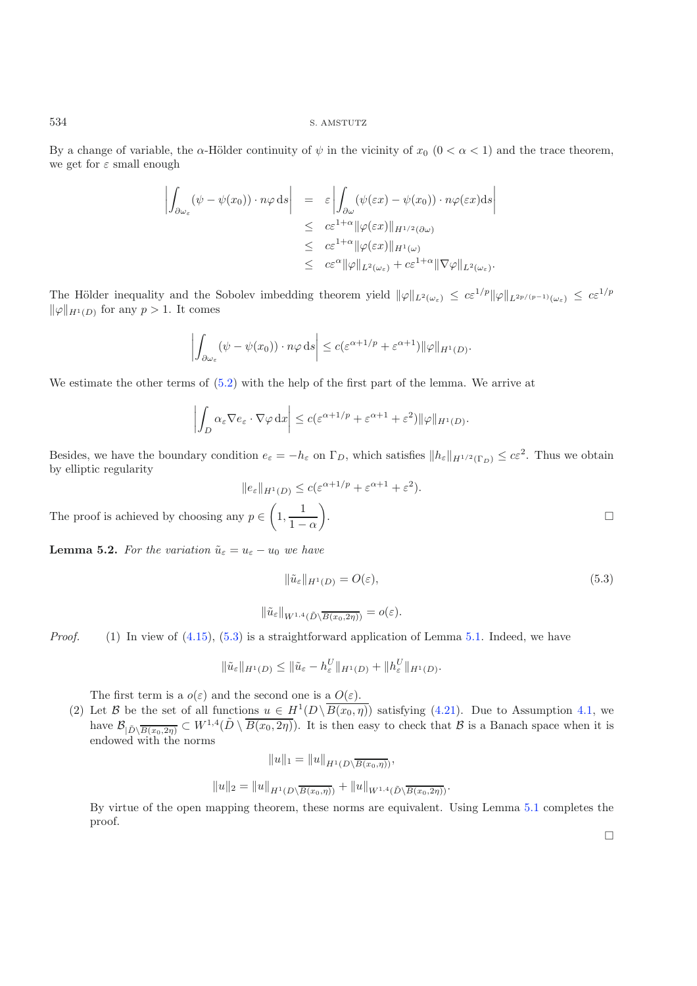By a change of variable, the  $\alpha$ -Hölder continuity of  $\psi$  in the vicinity of  $x_0$  (0 <  $\alpha$  < 1) and the trace theorem, we get for  $\varepsilon$  small enough

$$
\left| \int_{\partial \omega_{\varepsilon}} (\psi - \psi(x_0)) \cdot n\varphi \, ds \right| = \varepsilon \left| \int_{\partial \omega} (\psi(\varepsilon x) - \psi(x_0)) \cdot n\varphi(\varepsilon x) ds \right|
$$
  
\n
$$
\leq c \varepsilon^{1+\alpha} \| \varphi(\varepsilon x) \|_{H^{1/2}(\partial \omega)}
$$
  
\n
$$
\leq c \varepsilon^{1+\alpha} \| \varphi(\varepsilon x) \|_{H^1(\omega)}
$$
  
\n
$$
\leq c \varepsilon^{\alpha} \| \varphi \|_{L^2(\omega_{\varepsilon})} + c \varepsilon^{1+\alpha} \| \nabla \varphi \|_{L^2(\omega_{\varepsilon})}.
$$

The Hölder inequality and the Sobolev imbedding theorem yield  $\|\varphi\|_{L^2(\omega_{\varepsilon})} \leq c \varepsilon^{1/p} \|\varphi\|_{L^{2p/(p-1)}(\omega_{\varepsilon})} \leq c \varepsilon^{1/p}$  $\|\varphi\|_{H^1(D)}$  for any  $p > 1$ . It comes

$$
\left| \int_{\partial \omega_{\varepsilon}} (\psi - \psi(x_0)) \cdot n\varphi \, ds \right| \leq c (\varepsilon^{\alpha + 1/p} + \varepsilon^{\alpha + 1}) ||\varphi||_{H^1(D)}.
$$

We estimate the other terms of [\(5.2\)](#page-10-2) with the help of the first part of the lemma. We arrive at

<span id="page-11-0"></span>
$$
\left| \int_D \alpha_{\varepsilon} \nabla e_{\varepsilon} \cdot \nabla \varphi \, dx \right| \leq c (\varepsilon^{\alpha+1/p} + \varepsilon^{\alpha+1} + \varepsilon^2) \|\varphi\|_{H^1(D)}.
$$

Besides, we have the boundary condition  $e_{\varepsilon} = -h_{\varepsilon}$  on  $\Gamma_D$ , which satisfies  $||h_{\varepsilon}||_{H^{1/2}(\Gamma_D)} \leq c\varepsilon^2$ . Thus we obtain by elliptic regularity

$$
\|e_{\varepsilon}\|_{H^1(D)} \le c(\varepsilon^{\alpha+1/p} + \varepsilon^{\alpha+1} + \varepsilon^2).
$$
  
The proof is achieved by choosing any  $p \in \left(1, \frac{1}{1-\alpha}\right)$ .

<span id="page-11-1"></span>**Lemma 5.2.** *For the variation*  $\tilde{u}_{\varepsilon} = u_{\varepsilon} - u_0$  *we have* 

$$
\|\tilde{u}_{\varepsilon}\|_{H^1(D)} = O(\varepsilon),\tag{5.3}
$$

$$
\|\tilde{u}_{\varepsilon}\|_{W^{1,4}(\tilde{D}\setminus\overline{B(x_0,2\eta)})}=o(\varepsilon).
$$

*Proof.* (1) In view of [\(4.15\)](#page-6-3), [\(5.3\)](#page-11-0) is a straightforward application of Lemma [5.1.](#page-10-3) Indeed, we have

$$
\|\tilde{u}_{\varepsilon}\|_{H^1(D)} \le \|\tilde{u}_{\varepsilon} - h_{\varepsilon}^U\|_{H^1(D)} + \|h_{\varepsilon}^U\|_{H^1(D)}.
$$

The first term is a  $o(\varepsilon)$  and the second one is a  $O(\varepsilon)$ .

(2) Let B be the set of all functions  $u \in H^1(D\setminus \overline{B(x_0, \eta)})$  satisfying [\(4.21\)](#page-8-3). Due to Assumption [4.1,](#page-8-0) we have  $\mathcal{B}_{|\tilde{D}\setminus\overline{B(x_0,2\eta)}} \subset W^{1,4}(\tilde{D}\setminus\overline{B(x_0,2\eta)})$ . It is then easy to check that  $\mathcal B$  is a Banach space when it is endowed with the norms

$$
||u||_1 = ||u||_{H^1(D \setminus \overline{B(x_0, \eta)})},
$$
  

$$
||u||_2 = ||u||_{H^1(D \setminus \overline{B(x_0, \eta)})} + ||u||_{W^{1,4}(\tilde{D} \setminus \overline{B(x_0, 2\eta)})}.
$$

By virtue of the open mapping theorem, these norms are equivalent. Using Lemma [5.1](#page-10-3) completes the proof.

 $\Box$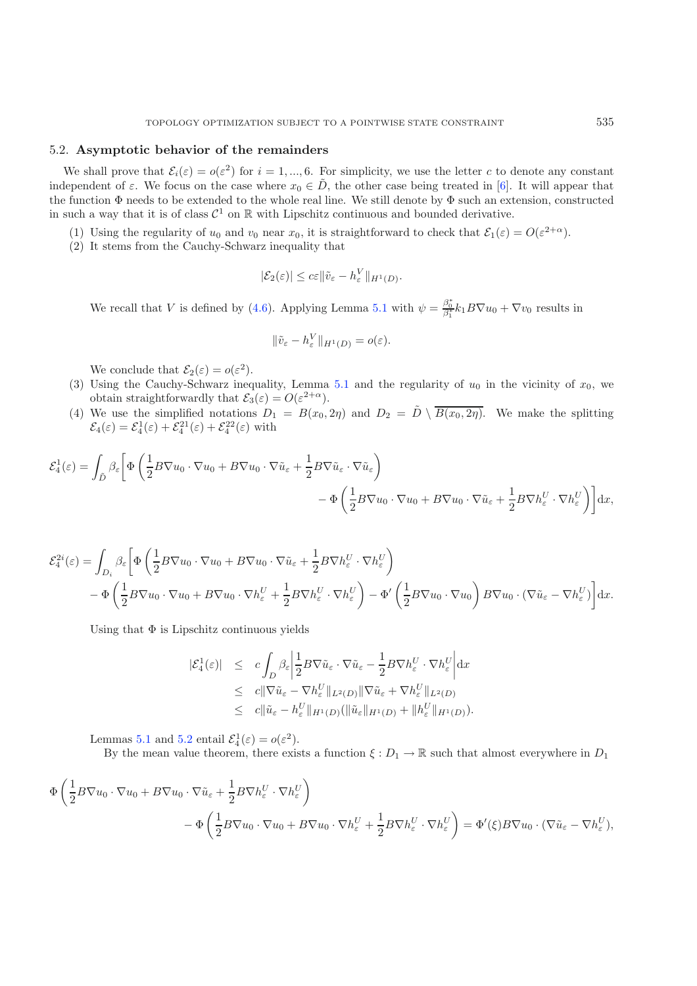### 5.2. **Asymptotic behavior of the remainders**

We shall prove that  $\mathcal{E}_i(\varepsilon) = o(\varepsilon^2)$  for  $i = 1, ..., 6$ . For simplicity, we use the letter c to denote any constant independent of  $\varepsilon$ . We focus on the case where  $x_0 \in \tilde{D}$ , the other case being treated in [\[6\]](#page-20-11). It will appear that the function Φ needs to be extended to the whole real line. We still denote by Φ such an extension, constructed in such a way that it is of class  $\mathcal{C}^1$  on R with Lipschitz continuous and bounded derivative.

- (1) Using the regularity of  $u_0$  and  $v_0$  near  $x_0$ , it is straightforward to check that  $\mathcal{E}_1(\varepsilon) = O(\varepsilon^{2+\alpha})$ .
- (2) It stems from the Cauchy-Schwarz inequality that

$$
|\mathcal{E}_2(\varepsilon)| \leq c\varepsilon \|\tilde{v}_{\varepsilon} - h_{\varepsilon}^V\|_{H^1(D)}.
$$

We recall that V is defined by [\(4.6\)](#page-5-4). Applying Lemma [5.1](#page-10-3) with  $\psi = \frac{\beta_0^*}{\beta_1^*} k_1 B \nabla u_0 + \nabla v_0$  results in

$$
\|\tilde{v}_{\varepsilon}-h_{\varepsilon}^V\|_{H^1(D)}=o(\varepsilon).
$$

We conclude that  $\mathcal{E}_2(\varepsilon) = o(\varepsilon^2)$ .

- (3) Using the Cauchy-Schwarz inequality, Lemma [5.1](#page-10-3) and the regularity of  $u_0$  in the vicinity of  $x_0$ , we obtain straightforwardly that  $\mathcal{E}_3(\varepsilon) = O(\varepsilon^{2+\alpha})$ .
- (4) We use the simplified notations  $D_1 = B(x_0, 2\eta)$  and  $D_2 = \tilde{D} \setminus \overline{B(x_0, 2\eta)}$ . We make the splitting  $\mathcal{E}_4(\varepsilon) = \mathcal{E}_4^1(\varepsilon) + \mathcal{E}_4^{21}(\varepsilon) + \mathcal{E}_4^{22}(\varepsilon)$  with

$$
\mathcal{E}_4^1(\varepsilon) = \int_{\tilde{D}} \beta_{\varepsilon} \left[ \Phi \left( \frac{1}{2} B \nabla u_0 \cdot \nabla u_0 + B \nabla u_0 \cdot \nabla \tilde{u}_{\varepsilon} + \frac{1}{2} B \nabla \tilde{u}_{\varepsilon} \cdot \nabla \tilde{u}_{\varepsilon} \right) - \Phi \left( \frac{1}{2} B \nabla u_0 \cdot \nabla u_0 + B \nabla u_0 \cdot \nabla \tilde{u}_{\varepsilon} + \frac{1}{2} B \nabla h_{\varepsilon}^U \cdot \nabla h_{\varepsilon}^U \right) \right] dx,
$$

$$
\mathcal{E}_{4}^{2i}(\varepsilon) = \int_{D_{i}} \beta_{\varepsilon} \left[ \Phi\left(\frac{1}{2} B \nabla u_{0} \cdot \nabla u_{0} + B \nabla u_{0} \cdot \nabla \tilde{u}_{\varepsilon} + \frac{1}{2} B \nabla h_{\varepsilon}^{U} \cdot \nabla h_{\varepsilon}^{U} \right) \right] - \Phi\left(\frac{1}{2} B \nabla u_{0} \cdot \nabla u_{0} + B \nabla u_{0} \cdot \nabla h_{\varepsilon}^{U} + \frac{1}{2} B \nabla h_{\varepsilon}^{U} \cdot \nabla h_{\varepsilon}^{U}\right) - \Phi'\left(\frac{1}{2} B \nabla u_{0} \cdot \nabla u_{0}\right) B \nabla u_{0} \cdot (\nabla \tilde{u}_{\varepsilon} - \nabla h_{\varepsilon}^{U}) \right] dx.
$$

Using that  $\Phi$  is Lipschitz continuous yields

$$
\begin{array}{rcl}\n|\mathcal{E}_4^1(\varepsilon)| & \leq & c \int_D \beta_\varepsilon \left| \frac{1}{2} B \nabla \tilde{u}_\varepsilon \cdot \nabla \tilde{u}_\varepsilon - \frac{1}{2} B \nabla h_\varepsilon^U \cdot \nabla h_\varepsilon^U \right| \, \mathrm{d}x \\
& \leq & c \|\nabla \tilde{u}_\varepsilon - \nabla h_\varepsilon^U\|_{L^2(D)} \|\nabla \tilde{u}_\varepsilon + \nabla h_\varepsilon^U\|_{L^2(D)} \\
& \leq & c \|\tilde{u}_\varepsilon - h_\varepsilon^U\|_{H^1(D)} (\|\tilde{u}_\varepsilon\|_{H^1(D)} + \|h_\varepsilon^U\|_{H^1(D)}).\n\end{array}
$$

Lemmas [5.1](#page-10-3) and [5.2](#page-11-1) entail  $\mathcal{E}_4^1(\varepsilon) = o(\varepsilon^2)$ .<br>By the mean value theorem, there exist

By the mean value theorem, there exists a function  $\xi : D_1 \to \mathbb{R}$  such that almost everywhere in  $D_1$ 

$$
\Phi\left(\frac{1}{2}B\nabla u_0\cdot\nabla u_0 + B\nabla u_0\cdot\nabla\tilde{u}_{\varepsilon} + \frac{1}{2}B\nabla h_{\varepsilon}^U\cdot\nabla h_{\varepsilon}^U\right) \n- \Phi\left(\frac{1}{2}B\nabla u_0\cdot\nabla u_0 + B\nabla u_0\cdot\nabla h_{\varepsilon}^U + \frac{1}{2}B\nabla h_{\varepsilon}^U\cdot\nabla h_{\varepsilon}^U\right) = \Phi'(\xi)B\nabla u_0\cdot(\nabla\tilde{u}_{\varepsilon} - \nabla h_{\varepsilon}^U),
$$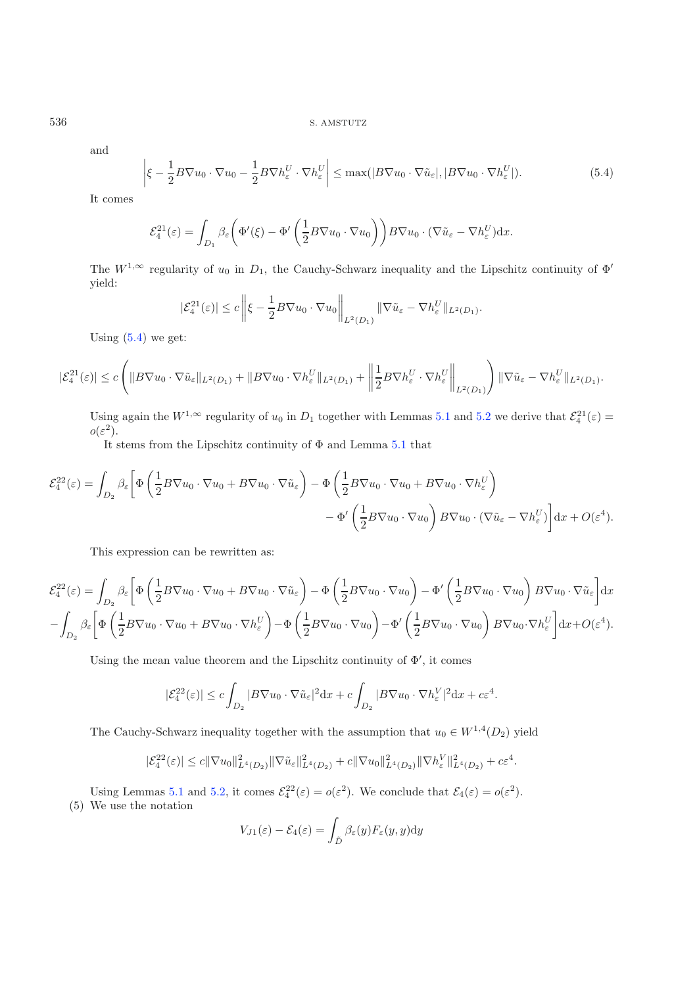and

$$
\left|\xi - \frac{1}{2}B\nabla u_0 \cdot \nabla u_0 - \frac{1}{2}B\nabla h_{\varepsilon}^U \cdot \nabla h_{\varepsilon}^U\right| \le \max(|B\nabla u_0 \cdot \nabla \tilde{u}_{\varepsilon}|, |B\nabla u_0 \cdot \nabla h_{\varepsilon}^U|). \tag{5.4}
$$

It comes

$$
\mathcal{E}_4^{21}(\varepsilon) = \int_{D_1} \beta_{\varepsilon} \left( \Phi'(\xi) - \Phi' \left( \frac{1}{2} B \nabla u_0 \cdot \nabla u_0 \right) \right) B \nabla u_0 \cdot (\nabla \tilde{u}_{\varepsilon} - \nabla h_{\varepsilon}^U) dx.
$$

The  $W^{1,\infty}$  regularity of  $u_0$  in  $D_1$ , the Cauchy-Schwarz inequality and the Lipschitz continuity of  $\Phi'$ yield:

$$
|\mathcal{E}_4^{21}(\varepsilon)| \leq c \left\| \xi - \frac{1}{2} B \nabla u_0 \cdot \nabla u_0 \right\|_{L^2(D_1)} \|\nabla \tilde{u}_{\varepsilon} - \nabla h_{\varepsilon}^U\|_{L^2(D_1)}.
$$

Using  $(5.4)$  we get:

$$
|\mathcal{E}_4^{21}(\varepsilon)| \leq c \left( \|B\nabla u_0\cdot \nabla \tilde u_\varepsilon\|_{L^2(D_1)} + \|B\nabla u_0\cdot \nabla h_\varepsilon^U\|_{L^2(D_1)} + \left\|\frac{1}{2}B\nabla h_\varepsilon^U\cdot \nabla h_\varepsilon^U\right\|_{L^2(D_1)} \right) \|\nabla \tilde u_\varepsilon - \nabla h_\varepsilon^U\|_{L^2(D_1)}.
$$

Using again the  $W^{1,\infty}$  regularity of  $u_0$  in  $D_1$  together with Lemmas [5.1](#page-10-3) and [5.2](#page-11-1) we derive that  $\mathcal{E}_4^{21}(\varepsilon) =$  $o(\varepsilon^2)$ .

It stems from the Lipschitz continuity of Φ and Lemma [5.1](#page-10-3) that

$$
\mathcal{E}_4^{22}(\varepsilon) = \int_{D_2} \beta_{\varepsilon} \left[ \Phi \left( \frac{1}{2} B \nabla u_0 \cdot \nabla u_0 + B \nabla u_0 \cdot \nabla \tilde{u}_{\varepsilon} \right) - \Phi \left( \frac{1}{2} B \nabla u_0 \cdot \nabla u_0 + B \nabla u_0 \cdot \nabla h_{\varepsilon}^U \right) \right. \\ \left. - \Phi' \left( \frac{1}{2} B \nabla u_0 \cdot \nabla u_0 \right) B \nabla u_0 \cdot (\nabla \tilde{u}_{\varepsilon} - \nabla h_{\varepsilon}^U) \right] dx + O(\varepsilon^4).
$$

This expression can be rewritten as:

$$
\mathcal{E}_4^{22}(\varepsilon) = \int_{D_2} \beta_{\varepsilon} \left[ \Phi\left(\frac{1}{2} B \nabla u_0 \cdot \nabla u_0 + B \nabla u_0 \cdot \nabla \tilde{u}_{\varepsilon}\right) - \Phi\left(\frac{1}{2} B \nabla u_0 \cdot \nabla u_0\right) - \Phi'\left(\frac{1}{2} B \nabla u_0 \cdot \nabla u_0\right) B \nabla u_0 \cdot \nabla \tilde{u}_{\varepsilon} \right] dx
$$

$$
- \int_{D_2} \beta_{\varepsilon} \left[ \Phi\left(\frac{1}{2} B \nabla u_0 \cdot \nabla u_0 + B \nabla u_0 \cdot \nabla h_{\varepsilon}^U\right) - \Phi\left(\frac{1}{2} B \nabla u_0 \cdot \nabla u_0\right) - \Phi'\left(\frac{1}{2} B \nabla u_0 \cdot \nabla u_0\right) B \nabla u_0 \cdot \nabla h_{\varepsilon}^U \right] dx + O(\varepsilon^4).
$$

Using the mean value theorem and the Lipschitz continuity of  $\Phi'$ , it comes

$$
|\mathcal{E}_4^{22}(\varepsilon)| \leq c \int_{D_2} |B \nabla u_0 \cdot \nabla \tilde{u}_{\varepsilon}|^2 \mathrm{d}x + c \int_{D_2} |B \nabla u_0 \cdot \nabla h_{\varepsilon}^V|^2 \mathrm{d}x + c\varepsilon^4.
$$

The Cauchy-Schwarz inequality together with the assumption that  $u_0 \in W^{1,4}(D_2)$  yield

$$
|\mathcal{E}_4^{22}(\varepsilon)| \leq c||\nabla u_0||^2_{L^4(D_2)} ||\nabla \tilde{u}_{\varepsilon}||^2_{L^4(D_2)} + c||\nabla u_0||^2_{L^4(D_2)} ||\nabla h^V_{\varepsilon}||^2_{L^4(D_2)} + c\varepsilon^4.
$$

Using Lemmas [5.1](#page-10-3) and [5.2,](#page-11-1) it comes  $\mathcal{E}_4^{22}(\varepsilon) = o(\varepsilon^2)$ . We conclude that  $\mathcal{E}_4(\varepsilon) = o(\varepsilon^2)$ . (5) We use the notation

$$
V_{J1}(\varepsilon) - \mathcal{E}_4(\varepsilon) = \int_{\tilde{D}} \beta_{\varepsilon}(y) F_{\varepsilon}(y, y) dy
$$

<span id="page-13-0"></span>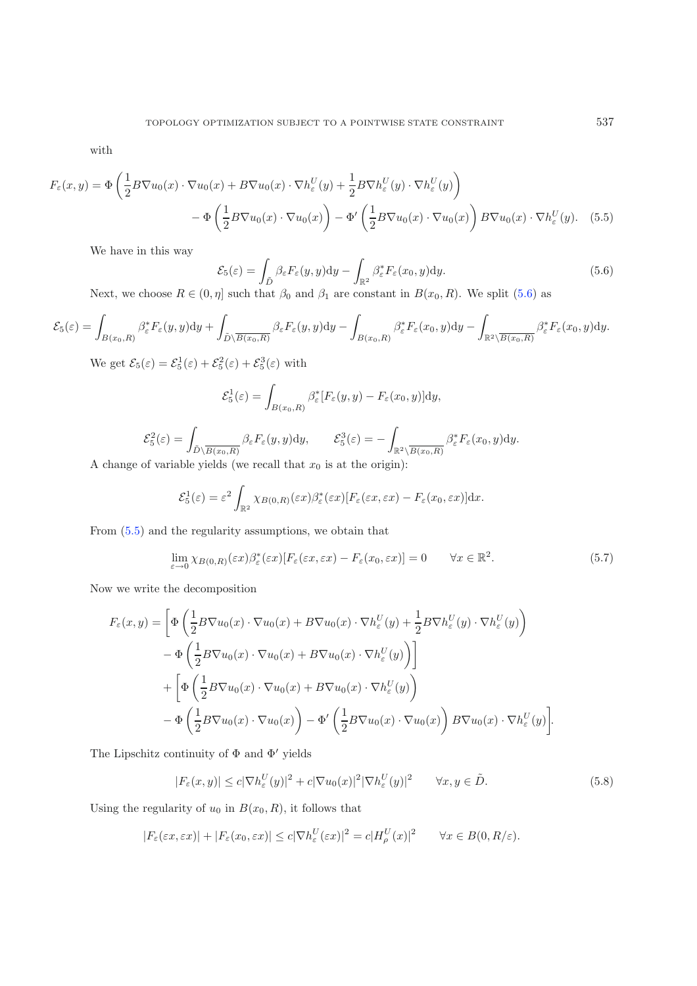<span id="page-14-0"></span>with

$$
F_{\varepsilon}(x,y) = \Phi\left(\frac{1}{2}B\nabla u_0(x) \cdot \nabla u_0(x) + B\nabla u_0(x) \cdot \nabla h_{\varepsilon}^U(y) + \frac{1}{2}B\nabla h_{\varepsilon}^U(y) \cdot \nabla h_{\varepsilon}^U(y)\right) - \Phi\left(\frac{1}{2}B\nabla u_0(x) \cdot \nabla u_0(x)\right) - \Phi'\left(\frac{1}{2}B\nabla u_0(x) \cdot \nabla u_0(x)\right)B\nabla u_0(x) \cdot \nabla h_{\varepsilon}^U(y).
$$
 (5.5)

We have in this way

<span id="page-14-1"></span>
$$
\mathcal{E}_5(\varepsilon) = \int_{\tilde{D}} \beta_{\varepsilon} F_{\varepsilon}(y, y) dy - \int_{\mathbb{R}^2} \beta_{\varepsilon}^* F_{\varepsilon}(x_0, y) dy.
$$
\n(5.6)

Next, we choose  $R \in (0, \eta]$  such that  $\beta_0$  and  $\beta_1$  are constant in  $B(x_0, R)$ . We split [\(5.6\)](#page-14-0) as

$$
\mathcal{E}_5(\varepsilon) = \int_{B(x_0,R)} \beta_{\varepsilon}^* F_{\varepsilon}(y,y) dy + \int_{\tilde{D}\setminus \overline{B(x_0,R)}} \beta_{\varepsilon} F_{\varepsilon}(y,y) dy - \int_{B(x_0,R)} \beta_{\varepsilon}^* F_{\varepsilon}(x_0,y) dy - \int_{\mathbb{R}^2 \setminus \overline{B(x_0,R)}} \beta_{\varepsilon}^* F_{\varepsilon}(x_0,y) dy.
$$

<span id="page-14-2"></span>We get  $\mathcal{E}_5(\varepsilon) = \mathcal{E}_5^1(\varepsilon) + \mathcal{E}_5^2(\varepsilon) + \mathcal{E}_5^3(\varepsilon)$  with

$$
\mathcal{E}_5^1(\varepsilon) = \int_{B(x_0,R)} \beta_{\varepsilon}^*[F_{\varepsilon}(y,y) - F_{\varepsilon}(x_0,y)] \mathrm{d}y,
$$

$$
\mathcal{E}_5^2(\varepsilon) = \int_{\tilde{D}\setminus \overline{B(x_0, R)}} \beta_{\varepsilon} F_{\varepsilon}(y, y) dy, \qquad \mathcal{E}_5^3(\varepsilon) = -\int_{\mathbb{R}^2 \setminus \overline{B(x_0, R)}} \beta_{\varepsilon}^* F_{\varepsilon}(x_0, y) dy.
$$

A change of variable yields (we recall that  $x_0$  is at the origin):

$$
\mathcal{E}_5^1(\varepsilon) = \varepsilon^2 \int_{\mathbb{R}^2} \chi_{B(0,R)}(\varepsilon x) \beta_{\varepsilon}^*(\varepsilon x) [F_{\varepsilon}(\varepsilon x, \varepsilon x) - F_{\varepsilon}(x_0, \varepsilon x)] \mathrm{d}x.
$$

From [\(5.5\)](#page-14-1) and the regularity assumptions, we obtain that

$$
\lim_{\varepsilon \to 0} \chi_{B(0,R)}(\varepsilon x) \beta_{\varepsilon}^*(\varepsilon x) [F_{\varepsilon}(\varepsilon x, \varepsilon x) - F_{\varepsilon}(x_0, \varepsilon x)] = 0 \qquad \forall x \in \mathbb{R}^2.
$$
\n(5.7)

<span id="page-14-3"></span>Now we write the decomposition

$$
F_{\varepsilon}(x,y) = \left[ \Phi\left( \frac{1}{2} B \nabla u_0(x) \cdot \nabla u_0(x) + B \nabla u_0(x) \cdot \nabla h_{\varepsilon}^U(y) + \frac{1}{2} B \nabla h_{\varepsilon}^U(y) \cdot \nabla h_{\varepsilon}^U(y) \right) \right]
$$
  

$$
- \Phi\left( \frac{1}{2} B \nabla u_0(x) \cdot \nabla u_0(x) + B \nabla u_0(x) \cdot \nabla h_{\varepsilon}^U(y) \right) \right]
$$
  

$$
+ \left[ \Phi\left( \frac{1}{2} B \nabla u_0(x) \cdot \nabla u_0(x) + B \nabla u_0(x) \cdot \nabla h_{\varepsilon}^U(y) \right) \right]
$$
  

$$
- \Phi\left( \frac{1}{2} B \nabla u_0(x) \cdot \nabla u_0(x) \right) - \Phi'\left( \frac{1}{2} B \nabla u_0(x) \cdot \nabla u_0(x) \right) B \nabla u_0(x) \cdot \nabla h_{\varepsilon}^U(y) \right].
$$

The Lipschitz continuity of  $\Phi$  and  $\Phi'$  yields

$$
|F_{\varepsilon}(x,y)| \leq c|\nabla h_{\varepsilon}^{U}(y)|^{2} + c|\nabla u_{0}(x)|^{2}|\nabla h_{\varepsilon}^{U}(y)|^{2} \qquad \forall x, y \in \tilde{D}.
$$
\n(5.8)

Using the regularity of  $u_0$  in  $B(x_0, R)$ , it follows that

$$
|F_{\varepsilon}(\varepsilon x, \varepsilon x)| + |F_{\varepsilon}(x_0, \varepsilon x)| \leq c|\nabla h_{\varepsilon}^U(\varepsilon x)|^2 = c|H_{\rho}^U(x)|^2 \qquad \forall x \in B(0, R/\varepsilon).
$$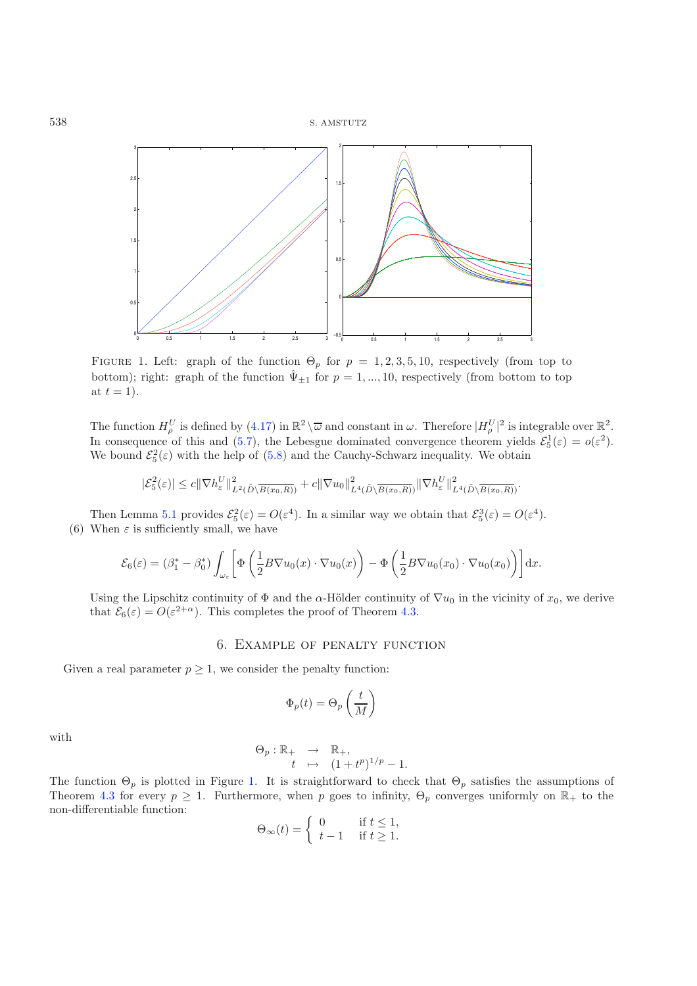<span id="page-15-1"></span>

FIGURE 1. Left: graph of the function  $\Theta_p$  for  $p = 1, 2, 3, 5, 10$ , respectively (from top to bottom); right: graph of the function  $\hat{\Psi}_{\pm 1}$  for  $p = 1, ..., 10$ , respectively (from bottom to top at  $t = 1$ .

The function  $H_{\nu}^U$  is defined by [\(4.17\)](#page-7-1) in  $\mathbb{R}^2 \setminus \overline{\omega}$  and constant in  $\omega$ . Therefore  $|H_{\nu}^U|^2$  is integrable over  $\mathbb{R}^2$ .<br>In consequence of this and (5.7), the Lobesnus dominated convergence theorem v In consequence of this and [\(5.7\)](#page-14-2), the Lebesgue dominated convergence theorem yields  $\mathcal{E}_5^1(\varepsilon) = o(\varepsilon^2)$ .<br>We bound  $\mathcal{E}_5^2(\varepsilon)$  with the help of (5.8) and the Cauchy-Schwarz inequality. We obtain We bound  $\mathcal{E}_5^2(\varepsilon)$  with the help of [\(5.8\)](#page-14-3) and the Cauchy-Schwarz inequality. We obtain

$$
|\mathcal{E}_5^2(\varepsilon)| \leq c \|\nabla h_{\varepsilon}^U\|_{L^2(\tilde{D}\setminus\overline{B(x_0,R)})}^2 + c\|\nabla u_0\|_{L^4(\tilde{D}\setminus\overline{B(x_0,R)})}^2 \|\nabla h_{\varepsilon}^U\|_{L^4(\tilde{D}\setminus\overline{B(x_0,R)})}^2.
$$

Then Lemma [5.1](#page-10-3) provides  $\mathcal{E}_5^2(\varepsilon) = O(\varepsilon^4)$ . In a similar way we obtain that  $\mathcal{E}_5^3(\varepsilon) = O(\varepsilon^4)$ .<br>When  $\varepsilon$  is sufficiently small, we have (6) When  $\varepsilon$  is sufficiently small, we have

$$
\mathcal{E}_6(\varepsilon) = (\beta_1^* - \beta_0^*) \int_{\omega_\varepsilon} \left[ \Phi \left( \frac{1}{2} B \nabla u_0(x) \cdot \nabla u_0(x) \right) - \Phi \left( \frac{1}{2} B \nabla u_0(x_0) \cdot \nabla u_0(x_0) \right) \right] dx.
$$

Using the Lipschitz continuity of  $\Phi$  and the  $\alpha$ -Hölder continuity of  $\nabla u_0$  in the vicinity of  $x_0$ , we derive that  $\mathcal{E}_6(\varepsilon) = O(\varepsilon^{2+\alpha})$ . This completes the proof of Theorem [4.3.](#page-9-1)

### 6. Example of penalty function

<span id="page-15-0"></span>Given a real parameter  $p \geq 1$ , we consider the penalty function:

$$
\Phi_p(t) = \Theta_p\left(\frac{t}{M}\right)
$$

with

$$
\Theta_p : \mathbb{R}_+ \rightarrow \mathbb{R}_+,
$$
  
\n
$$
t \mapsto (1+t^p)^{1/p} - 1.
$$

The function  $\Theta_p$  is plotted in Figure [1.](#page-15-1) It is straightforward to check that  $\Theta_p$  satisfies the assumptions of Theorem [4.3](#page-9-1) for every  $p \geq 1$ . Furthermore, when p goes to infinity,  $\Theta_p$  converges uniformly on  $\mathbb{R}_+$  to the non-differentiable function:

$$
\Theta_{\infty}(t) = \begin{cases} 0 & \text{if } t \le 1, \\ t - 1 & \text{if } t \ge 1. \end{cases}
$$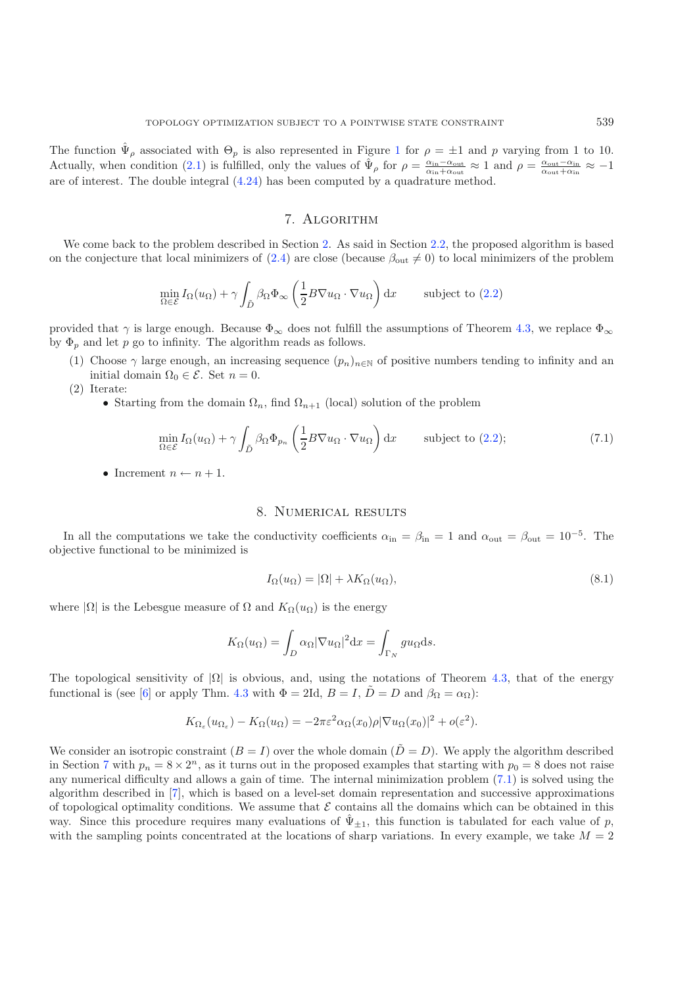The function  $\hat{\Psi}_{\rho}$  associated with  $\Theta_p$  is also represented in Figure [1](#page-15-1) for  $\rho = \pm 1$  and p varying from 1 to 10. Actually, when condition [\(2.1\)](#page-1-3) is fulfilled, only the values of  $\hat{\Psi}_{\rho}$  for  $\rho = \frac{\alpha_{\rm in}-\alpha_{\rm out}}{\alpha_{\rm out}+\alpha_{\rm in}} \approx -1$ <br>are of interest. The deuble integral (4.24) has been computed by a supplementative method are of interest. The double integral [\(4.24\)](#page-10-4) has been computed by a quadrature method.

# 7. Algorithm

<span id="page-16-2"></span><span id="page-16-0"></span>We come back to the problem described in Section [2.](#page-1-0) As said in Section [2.2,](#page-2-3) the proposed algorithm is based on the conjecture that local minimizers of [\(2.4\)](#page-2-1) are close (because  $\beta_{\text{out}} \neq 0$ ) to local minimizers of the problem

$$
\min_{\Omega \in \mathcal{E}} I_{\Omega}(u_{\Omega}) + \gamma \int_{\tilde{D}} \beta_{\Omega} \Phi_{\infty} \left( \frac{1}{2} B \nabla u_{\Omega} \cdot \nabla u_{\Omega} \right) dx \quad \text{subject to (2.2)}
$$

provided that  $\gamma$  is large enough. Because  $\Phi_{\infty}$  does not fulfill the assumptions of Theorem [4.3,](#page-9-1) we replace  $\Phi_{\infty}$ by  $\Phi_p$  and let p go to infinity. The algorithm reads as follows.

- (1) Choose  $\gamma$  large enough, an increasing sequence  $(p_n)_{n\in\mathbb{N}}$  of positive numbers tending to infinity and an initial domain  $\Omega_0 \in \mathcal{E}$ . Set  $n = 0$ .
- (2) Iterate:
	- Starting from the domain  $\Omega_n$ , find  $\Omega_{n+1}$  (local) solution of the problem

<span id="page-16-3"></span>
$$
\min_{\Omega \in \mathcal{E}} I_{\Omega}(u_{\Omega}) + \gamma \int_{\tilde{D}} \beta_{\Omega} \Phi_{p_n} \left( \frac{1}{2} B \nabla u_{\Omega} \cdot \nabla u_{\Omega} \right) dx \quad \text{subject to (2.2)};
$$
\n(7.1)

• Increment  $n \leftarrow n + 1$ .

# 8. Numerical results

<span id="page-16-1"></span>In all the computations we take the conductivity coefficients  $\alpha_{in} = \beta_{in} = 1$  and  $\alpha_{out} = \beta_{out} = 10^{-5}$ . The objective functional to be minimized is

$$
I_{\Omega}(u_{\Omega}) = |\Omega| + \lambda K_{\Omega}(u_{\Omega}), \qquad (8.1)
$$

where  $|\Omega|$  is the Lebesgue measure of  $\Omega$  and  $K_{\Omega}(u_{\Omega})$  is the energy

$$
K_{\Omega}(u_{\Omega}) = \int_{D} \alpha_{\Omega} |\nabla u_{\Omega}|^2 dx = \int_{\Gamma_N} gu_{\Omega} ds.
$$

The topological sensitivity of  $|\Omega|$  is obvious, and, using the notations of Theorem [4.3,](#page-9-1) that of the energy functional is (see [\[6\]](#page-20-11) or apply Thm. [4.3](#page-9-1) with  $\Phi = 2\text{Id}$ ,  $B = I$ ,  $\tilde{D} = D$  and  $\beta_{\Omega} = \alpha_{\Omega}$ ):

$$
K_{\Omega_{\varepsilon}}(u_{\Omega_{\varepsilon}}) - K_{\Omega}(u_{\Omega}) = -2\pi \varepsilon^2 \alpha_{\Omega}(x_0)\rho |\nabla u_{\Omega}(x_0)|^2 + o(\varepsilon^2).
$$

We consider an isotropic constraint  $(B = I)$  over the whole domain  $(D = D)$ . We apply the algorithm described in Section [7](#page-16-0) with  $p_n = 8 \times 2^n$ , as it turns out in the proposed examples that starting with  $p_0 = 8$  does not raise any numerical difficulty and allows a gain of time. The internal minimization problem [\(7.1\)](#page-16-2) is solved using the algorithm described in [\[7\]](#page-20-4), which is based on a level-set domain representation and successive approximations of topological optimality conditions. We assume that  $\mathcal E$  contains all the domains which can be obtained in this way. Since this procedure requires many evaluations of  $\hat{\Psi}_{\pm 1}$ , this function is tabulated for each value of p, with the sampling points concentrated at the locations of sharp variations. In every example, we take  $M = 2$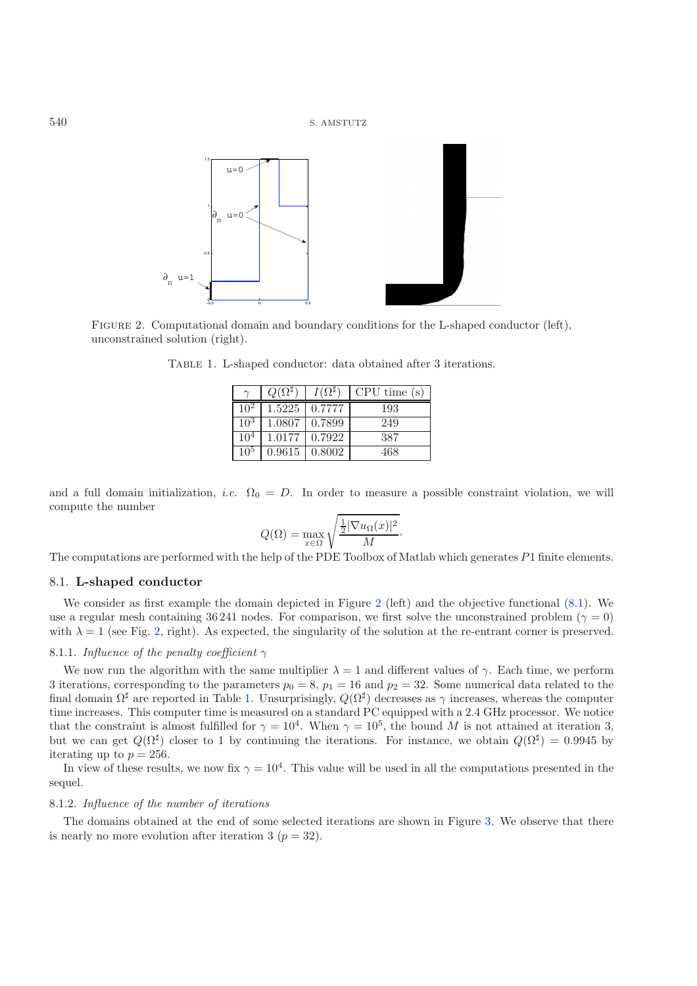<span id="page-17-1"></span>

FIGURE 2. Computational domain and boundary conditions for the L-shaped conductor (left), unconstrained solution (right).

|        |                 | $1(0)$ <sup>#</sup> | CPU time(s) |
|--------|-----------------|---------------------|-------------|
|        | 1.5225   0.7777 |                     | 193         |
| $10^3$ | 1.0807          | 0.7899              | 249         |
| 10     | 1.0177          | 0.7922              | 387         |
| 10٠    | 0.9615          | 0.8002              | 468         |

Table 1. L-shaped conductor: data obtained after 3 iterations.

and a full domain initialization, *i.e.*  $\Omega_0 = D$ . In order to measure a possible constraint violation, we will compute the number

$$
Q(\Omega) = \max_{x \in \Omega} \sqrt{\frac{\frac{1}{2} |\nabla u_{\Omega}(x)|^2}{M}}.
$$

The computations are performed with the help of the PDE Toolbox of Matlab which generates P1 finite elements.

# 8.1. **L-shaped conductor**

We consider as first example the domain depicted in Figure [2](#page-17-0) (left) and the objective functional  $(8.1)$ . We use a regular mesh containing 36 241 nodes. For comparison, we first solve the unconstrained problem ( $\gamma = 0$ ) with  $\lambda = 1$  (see Fig. [2,](#page-17-0) right). As expected, the singularity of the solution at the re-entrant corner is preserved.

### 8.1.1. *Influence of the penalty coefficient* γ

We now run the algorithm with the same multiplier  $\lambda = 1$  and different values of  $\gamma$ . Each time, we perform 3 iterations, corresponding to the parameters  $p_0 = 8$ ,  $p_1 = 16$  and  $p_2 = 32$ . Some numerical data related to the final domain  $\Omega^{\sharp}$  are reported in Table [1.](#page-17-1) Unsurprisingly,  $Q(\Omega^{\sharp})$  decreases as  $\gamma$  increases, whereas the computer time increases. This computer time is measured on a standard PC equipped with a 2.4 GHz processor. We notice that the constraint is almost fulfilled for  $\gamma = 10^4$ . When  $\gamma = 10^5$ , the bound M is not attained at iteration 3, but we can get  $Q(\Omega^{\sharp})$  closer to 1 by continuing the iterations. For instance, we obtain  $Q(\Omega^{\sharp})=0.9945$  by iterating up to  $p = 256$ .

In view of these results, we now fix  $\gamma = 10^4$ . This value will be used in all the computations presented in the sequel.

### 8.1.2. *Influence of the number of iterations*

The domains obtained at the end of some selected iterations are shown in Figure [3.](#page-18-0) We observe that there is nearly no more evolution after iteration 3 ( $p = 32$ ).

<span id="page-17-0"></span>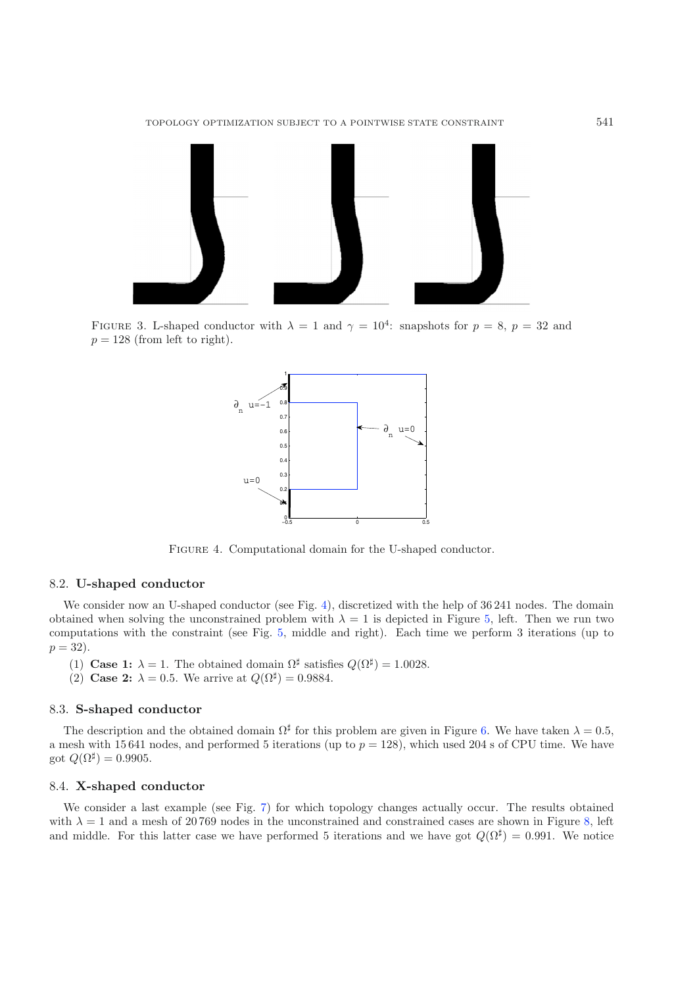<span id="page-18-0"></span>

FIGURE 3. L-shaped conductor with  $\lambda = 1$  and  $\gamma = 10^4$ : snapshots for  $p = 8$ ,  $p = 32$  and  $p = 128$  (from left to right).

<span id="page-18-1"></span>

Figure 4. Computational domain for the U-shaped conductor.

### 8.2. **U-shaped conductor**

We consider now an U-shaped conductor (see Fig. [4\)](#page-18-1), discretized with the help of 36 241 nodes. The domain obtained when solving the unconstrained problem with  $\lambda = 1$  is depicted in Figure [5,](#page-19-0) left. Then we run two computations with the constraint (see Fig. [5,](#page-19-0) middle and right). Each time we perform 3 iterations (up to  $p = 32$ .

- (1) **Case 1:**  $\lambda = 1$ . The obtained domain  $\Omega^{\sharp}$  satisfies  $Q(\Omega^{\sharp}) = 1.0028$ .
- (2) **Case 2:**  $\lambda = 0.5$ . We arrive at  $Q(\Omega^{\sharp}) = 0.9884$ .

### 8.3. **S-shaped conductor**

The description and the obtained domain  $\Omega^{\sharp}$  for this problem are given in Figure [6.](#page-19-1) We have taken  $\lambda = 0.5$ , a mesh with 15 641 nodes, and performed 5 iterations (up to  $p = 128$ ), which used 204 s of CPU time. We have got  $Q(\Omega^{\sharp})=0.9905$ .

## 8.4. **X-shaped conductor**

We consider a last example (see Fig. [7\)](#page-19-2) for which topology changes actually occur. The results obtained with  $\lambda = 1$  and a mesh of 20769 nodes in the unconstrained and constrained cases are shown in Figure [8,](#page-20-14) left and middle. For this latter case we have performed 5 iterations and we have got  $Q(\Omega^{\sharp})=0.991$ . We notice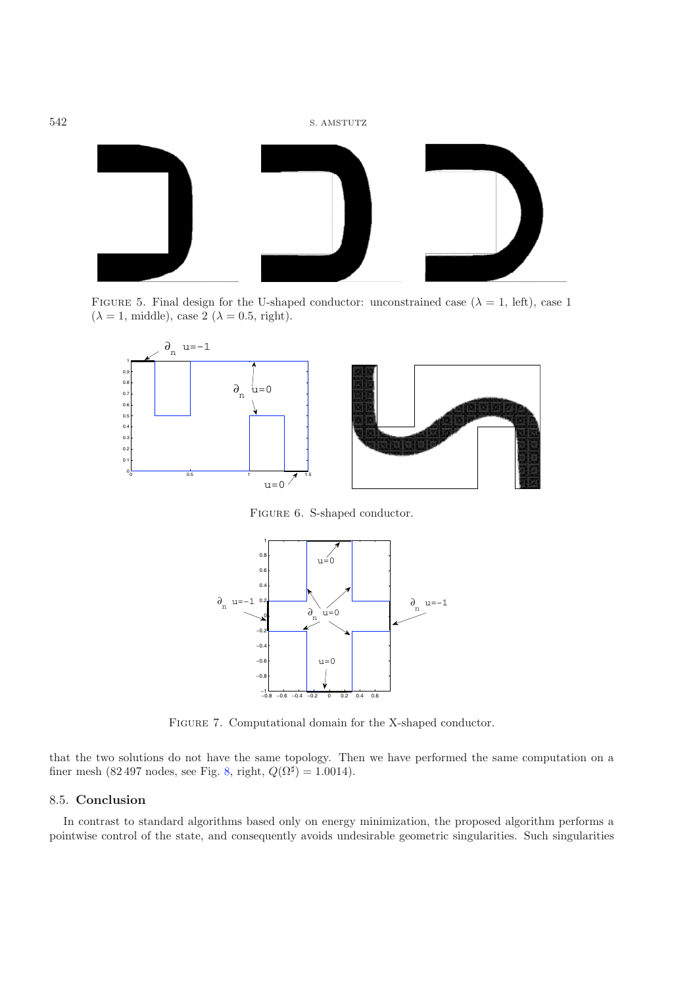<span id="page-19-0"></span>

FIGURE 5. Final design for the U-shaped conductor: unconstrained case ( $\lambda = 1$ , left), case 1  $(\lambda = 1, \text{ middle})$ , case 2  $(\lambda = 0.5, \text{ right})$ .

<span id="page-19-1"></span>

FIGURE 6. S-shaped conductor.

<span id="page-19-2"></span>

FIGURE 7. Computational domain for the X-shaped conductor.

that the two solutions do not have the same topology. Then we have performed the same computation on a finer mesh (82 497 nodes, see Fig. [8,](#page-20-14) right,  $Q(\Omega^{\sharp})=1.0014$ ).

# 8.5. **Conclusion**

In contrast to standard algorithms based only on energy minimization, the proposed algorithm performs a pointwise control of the state, and consequently avoids undesirable geometric singularities. Such singularities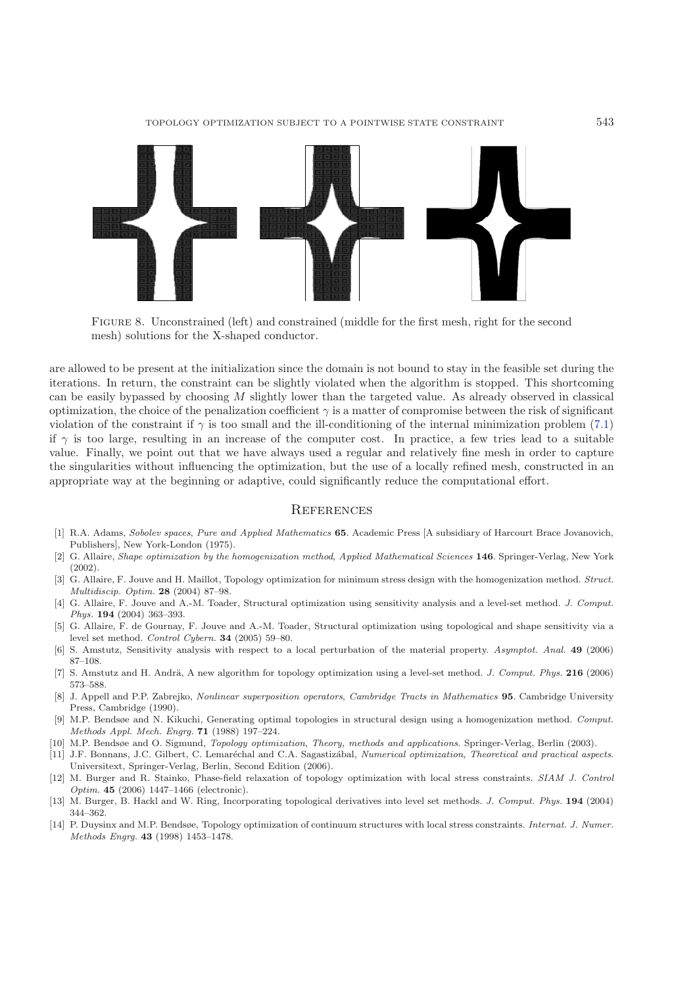<span id="page-20-14"></span>

Figure 8. Unconstrained (left) and constrained (middle for the first mesh, right for the second mesh) solutions for the X-shaped conductor.

are allowed to be present at the initialization since the domain is not bound to stay in the feasible set during the iterations. In return, the constraint can be slightly violated when the algorithm is stopped. This shortcoming can be easily bypassed by choosing M slightly lower than the targeted value. As already observed in classical optimization, the choice of the penalization coefficient  $\gamma$  is a matter of compromise between the risk of significant violation of the constraint if  $\gamma$  is too small and the ill-conditioning of the internal minimization problem [\(7.1\)](#page-16-2) if  $\gamma$  is too large, resulting in an increase of the computer cost. In practice, a few tries lead to a suitable value. Finally, we point out that we have always used a regular and relatively fine mesh in order to capture the singularities without influencing the optimization, but the use of a locally refined mesh, constructed in an appropriate way at the beginning or adaptive, could significantly reduce the computational effort.

### **REFERENCES**

- <span id="page-20-13"></span>[1] R.A. Adams, Sobolev spaces, Pure and Applied Mathematics **65**. Academic Press [A subsidiary of Harcourt Brace Jovanovich, Publishers], New York-London (1975).
- <span id="page-20-0"></span>[2] G. Allaire, Shape optimization by the homogenization method, Applied Mathematical Sciences **146**. Springer-Verlag, New York (2002).
- <span id="page-20-5"></span>[3] G. Allaire, F. Jouve and H. Maillot, Topology optimization for minimum stress design with the homogenization method. Struct. Multidiscip. Optim. **28** (2004) 87–98.
- <span id="page-20-3"></span>[4] G. Allaire, F. Jouve and A.-M. Toader, Structural optimization using sensitivity analysis and a level-set method. J. Comput. Phys. **194** (2004) 363–393.
- <span id="page-20-9"></span>[5] G. Allaire, F. de Gournay, F. Jouve and A.-M. Toader, Structural optimization using topological and shape sensitivity via a level set method. Control Cybern. **34** (2005) 59–80.
- <span id="page-20-11"></span>[6] S. Amstutz, Sensitivity analysis with respect to a local perturbation of the material property. Asymptot. Anal. **49** (2006) 87–108.
- <span id="page-20-4"></span>[7] S. Amstutz and H. Andrä, A new algorithm for topology optimization using a level-set method. *J. Comput. Phys.* **216** (2006) 573–588.
- <span id="page-20-12"></span>[8] J. Appell and P.P. Zabrejko, Nonlinear superposition operators, Cambridge Tracts in Mathematics **95**. Cambridge University Press, Cambridge (1990).
- <span id="page-20-1"></span>[9] M.P. Bendsøe and N. Kikuchi, Generating optimal topologies in structural design using a homogenization method. Comput. Methods Appl. Mech. Engrg. **71** (1988) 197–224.
- [10] M.P. Bendsøe and O. Sigmund, Topology optimization, Theory, methods and applications. Springer-Verlag, Berlin (2003).
- <span id="page-20-8"></span><span id="page-20-2"></span>[11] J.F. Bonnans, J.C. Gilbert, C. Lemaréchal and C.A. Sagastizábal, Numerical optimization, Theoretical and practical aspects. Universitext, Springer-Verlag, Berlin, Second Edition (2006).
- <span id="page-20-6"></span>[12] M. Burger and R. Stainko, Phase-field relaxation of topology optimization with local stress constraints. SIAM J. Control Optim. **45** (2006) 1447–1466 (electronic).
- <span id="page-20-10"></span>[13] M. Burger, B. Hackl and W. Ring, Incorporating topological derivatives into level set methods. J. Comput. Phys. **194** (2004) 344–362.
- <span id="page-20-7"></span>[14] P. Duysinx and M.P. Bendsøe, Topology optimization of continuum structures with local stress constraints. Internat. J. Numer. Methods Engrg. **43** (1998) 1453–1478.